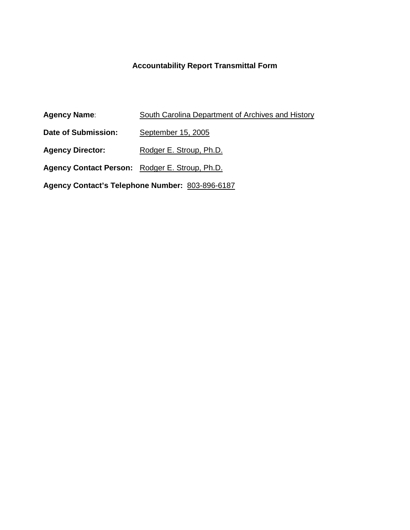# **Accountability Report Transmittal Form**

| <b>Agency Name:</b>                             | <b>South Carolina Department of Archives and History</b> |  |  |
|-------------------------------------------------|----------------------------------------------------------|--|--|
| Date of Submission:                             | September 15, 2005                                       |  |  |
| <b>Agency Director:</b>                         | Rodger E. Stroup, Ph.D.                                  |  |  |
| Agency Contact Person: Rodger E. Stroup, Ph.D.  |                                                          |  |  |
| Agency Contact's Telephone Number: 803-896-6187 |                                                          |  |  |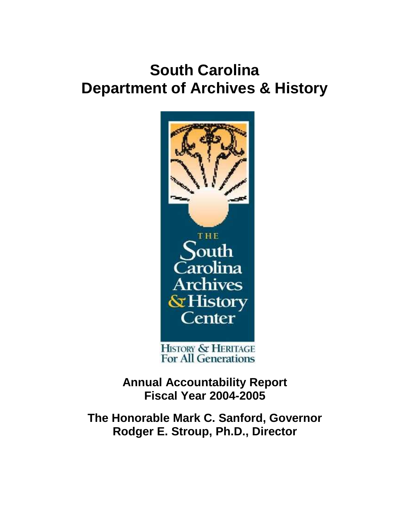# **South Carolina Department of Archives & History**



HISTORY & HERITAGE<br>For All Generations

**Annual Accountability Report Fiscal Year 2004-2005**

**The Honorable Mark C. Sanford, Governor Rodger E. Stroup, Ph.D., Director**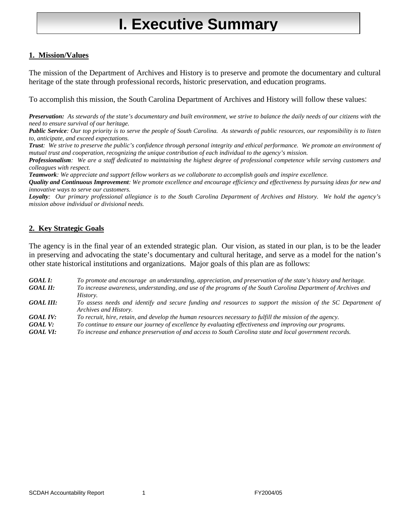# **I. Executive Summary**

## **1. Mission/Values**

The mission of the Department of Archives and History is to preserve and promote the documentary and cultural heritage of the state through professional records, historic preservation, and education programs.

To accomplish this mission, the South Carolina Department of Archives and History will follow these values:

*Preservation: As stewards of the state's documentary and built environment, we strive to balance the daily needs of our citizens with the need to ensure survival of our heritage.*

*Public Service: Our top priority is to serve the people of South Carolina. As stewards of public resources, our responsibility is to listen to, anticipate, and exceed expectations.*

*Trust: We strive to preserve the public's confidence through personal integrity and ethical performance. We promote an environment of mutual trust and cooperation, recognizing the unique contribution of each individual to the agency's mission.*

*Professionalism: We are a staff dedicated to maintaining the highest degree of professional competence while serving customers and colleagues with respect.*

*Teamwork: We appreciate and support fellow workers as we collaborate to accomplish goals and inspire excellence.*

*Quality and Continuous Improvement: We promote excellence and encourage efficiency and effectiveness by pursuing ideas for new and innovative ways to serve our customers.*

*Loyalty: Our primary professional allegiance is to the South Carolina Department of Archives and History. We hold the agency's mission above individual or divisional needs.*

#### **2. Key Strategic Goals**

The agency is in the final year of an extended strategic plan. Our vision, as stated in our plan, is to be the leader in preserving and advocating the state's documentary and cultural heritage, and serve as a model for the nation's other state historical institutions and organizations. Major goals of this plan are as follows:

*GOAL I: To promote and encourage an understanding, appreciation, and preservation of the state's history and heritage. GOAL II: To increase awareness, understanding, and use of the programs of the South Carolina Department of Archives and History. GOAL III: To assess needs and identify and secure funding and resources to support the mission of the SC Department of Archives and History. GOAL IV: To recruit, hire, retain, and develop the human resources necessary to fulfill the mission of the agency. GOAL V: To continue to ensure our journey of excellence by evaluating effectiveness and improving our programs.*

*GOAL VI: To increase and enhance preservation of and access to South Carolina state and local government records.*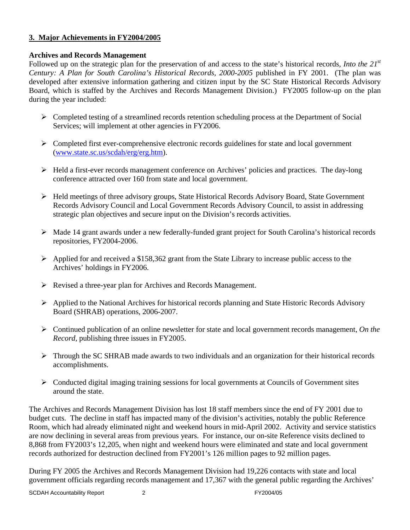### **3. Major Achievements in FY2004/2005**

## **Archives and Records Management**

Followed up on the strategic plan for the preservation of and access to the state's historical records, *Into the 21st Century: A Plan for South Carolina's Historical Records, 2000-2005* published in FY 2001. (The plan was developed after extensive information gathering and citizen input by the SC State Historical Records Advisory Board, which is staffed by the Archives and Records Management Division.) FY2005 follow-up on the plan during the year included:

- $\triangleright$  Completed testing of a streamlined records retention scheduling process at the Department of Social Services; will implement at other agencies in FY2006.
- $\triangleright$  Completed first ever-comprehensive electronic records guidelines for state and local government [\(www.state.sc.us/scdah/erg/erg.htm\)](http://www.state.sc.us/scdah/erg/erg.htm).
- Held a first-ever records management conference on Archives' policies and practices. The day-long conference attracted over 160 from state and local government.
- $\triangleright$  Held meetings of three advisory groups, State Historical Records Advisory Board, State Government Records Advisory Council and Local Government Records Advisory Council, to assist in addressing strategic plan objectives and secure input on the Division's records activities.
- Made 14 grant awards under a new federally-funded grant project for South Carolina's historical records repositories, FY2004-2006.
- $\triangleright$  Applied for and received a \$158,362 grant from the State Library to increase public access to the Archives' holdings in FY2006.
- Revised a three-year plan for Archives and Records Management.
- $\triangleright$  Applied to the National Archives for historical records planning and State Historic Records Advisory Board (SHRAB) operations, 2006-2007.
- Continued publication of an online newsletter for state and local government records management, *On the Record*, publishing three issues in FY2005.
- Through the SC SHRAB made awards to two individuals and an organization for their historical records accomplishments.
- $\triangleright$  Conducted digital imaging training sessions for local governments at Councils of Government sites around the state.

The Archives and Records Management Division has lost 18 staff members since the end of FY 2001 due to budget cuts. The decline in staff has impacted many of the division's activities, notably the public Reference Room, which had already eliminated night and weekend hours in mid-April 2002. Activity and service statistics are now declining in several areas from previous years. For instance, our on-site Reference visits declined to 8,868 from FY2003's 12,205, when night and weekend hours were eliminated and state and local government records authorized for destruction declined from FY2001's 126 million pages to 92 million pages.

During FY 2005 the Archives and Records Management Division had 19,226 contacts with state and local government officials regarding records management and 17,367 with the general public regarding the Archives'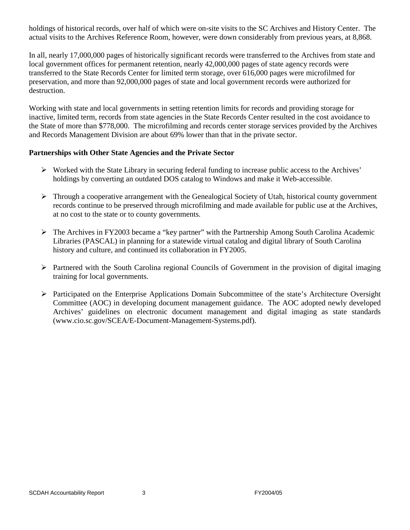holdings of historical records, over half of which were on-site visits to the SC Archives and History Center. The actual visits to the Archives Reference Room, however, were down considerably from previous years, at 8,868.

In all, nearly 17,000,000 pages of historically significant records were transferred to the Archives from state and local government offices for permanent retention, nearly 42,000,000 pages of state agency records were transferred to the State Records Center for limited term storage, over 616,000 pages were microfilmed for preservation, and more than 92,000,000 pages of state and local government records were authorized for destruction.

Working with state and local governments in setting retention limits for records and providing storage for inactive, limited term, records from state agencies in the State Records Center resulted in the cost avoidance to the State of more than \$778,000. The microfilming and records center storage services provided by the Archives and Records Management Division are about 69% lower than that in the private sector.

#### **Partnerships with Other State Agencies and the Private Sector**

- $\triangleright$  Worked with the State Library in securing federal funding to increase public access to the Archives' holdings by converting an outdated DOS catalog to Windows and make it Web-accessible.
- $\triangleright$  Through a cooperative arrangement with the Genealogical Society of Utah, historical county government records continue to be preserved through microfilming and made available for public use at the Archives, at no cost to the state or to county governments.
- The Archives in FY2003 became a "key partner" with the Partnership Among South Carolina Academic Libraries (PASCAL) in planning for a statewide virtual catalog and digital library of South Carolina history and culture, and continued its collaboration in FY2005.
- $\triangleright$  Partnered with the South Carolina regional Councils of Government in the provision of digital imaging training for local governments.
- $\triangleright$  Participated on the Enterprise Applications Domain Subcommittee of the state's Architecture Oversight Committee (AOC) in developing document management guidance. The AOC adopted newly developed Archives' guidelines on electronic document management and digital imaging as state standards (www.cio.sc.gov/SCEA/E-Document-Management-Systems.pdf).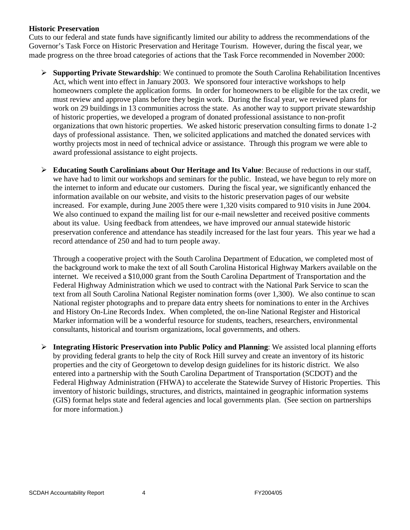#### **Historic Preservation**

Cuts to our federal and state funds have significantly limited our ability to address the recommendations of the Governor's Task Force on Historic Preservation and Heritage Tourism. However, during the fiscal year, we made progress on the three broad categories of actions that the Task Force recommended in November 2000:

- **Supporting Private Stewardship**: We continued to promote the South Carolina Rehabilitation Incentives Act, which went into effect in January 2003. We sponsored four interactive workshops to help homeowners complete the application forms. In order for homeowners to be eligible for the tax credit, we must review and approve plans before they begin work. During the fiscal year, we reviewed plans for work on 29 buildings in 13 communities across the state. As another way to support private stewardship of historic properties, we developed a program of donated professional assistance to non-profit organizations that own historic properties. We asked historic preservation consulting firms to donate 1-2 days of professional assistance. Then, we solicited applications and matched the donated services with worthy projects most in need of technical advice or assistance. Through this program we were able to award professional assistance to eight projects.
- **Educating South Carolinians about Our Heritage and Its Value**: Because of reductions in our staff, we have had to limit our workshops and seminars for the public. Instead, we have begun to rely more on the internet to inform and educate our customers. During the fiscal year, we significantly enhanced the information available on our website, and visits to the historic preservation pages of our website increased. For example, during June 2005 there were 1,320 visits compared to 910 visits in June 2004. We also continued to expand the mailing list for our e-mail newsletter and received positive comments about its value. Using feedback from attendees, we have improved our annual statewide historic preservation conference and attendance has steadily increased for the last four years. This year we had a record attendance of 250 and had to turn people away.

Through a cooperative project with the South Carolina Department of Education, we completed most of the background work to make the text of all South Carolina Historical Highway Markers available on the internet. We received a \$10,000 grant from the South Carolina Department of Transportation and the Federal Highway Administration which we used to contract with the National Park Service to scan the text from all South Carolina National Register nomination forms (over 1,300). We also continue to scan National register photographs and to prepare data entry sheets for nominations to enter in the Archives and History On-Line Records Index. When completed, the on-line National Register and Historical Marker information will be a wonderful resource for students, teachers, researchers, environmental consultants, historical and tourism organizations, local governments, and others.

 **Integrating Historic Preservation into Public Policy and Planning**: We assisted local planning efforts by providing federal grants to help the city of Rock Hill survey and create an inventory of its historic properties and the city of Georgetown to develop design guidelines for its historic district. We also entered into a partnership with the South Carolina Department of Transportation (SCDOT) and the Federal Highway Administration (FHWA) to accelerate the Statewide Survey of Historic Properties. This inventory of historic buildings, structures, and districts, maintained in geographic information systems (GIS) format helps state and federal agencies and local governments plan. (See section on partnerships for more information.)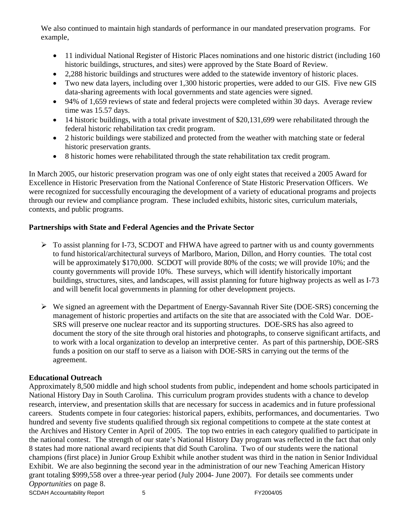We also continued to maintain high standards of performance in our mandated preservation programs. For example,

- 11 individual National Register of Historic Places nominations and one historic district (including 160 historic buildings, structures, and sites) were approved by the State Board of Review.
- 2,288 historic buildings and structures were added to the statewide inventory of historic places.
- Two new data layers, including over 1,300 historic properties, were added to our GIS. Five new GIS data-sharing agreements with local governments and state agencies were signed.
- 94% of 1,659 reviews of state and federal projects were completed within 30 days. Average review time was 15.57 days.
- 14 historic buildings, with a total private investment of \$20,131,699 were rehabilitated through the federal historic rehabilitation tax credit program.
- 2 historic buildings were stabilized and protected from the weather with matching state or federal historic preservation grants.
- 8 historic homes were rehabilitated through the state rehabilitation tax credit program.

In March 2005, our historic preservation program was one of only eight states that received a 2005 Award for Excellence in Historic Preservation from the National Conference of State Historic Preservation Officers. We were recognized for successfully encouraging the development of a variety of educational programs and projects through our review and compliance program. These included exhibits, historic sites, curriculum materials, contexts, and public programs.

## **Partnerships with State and Federal Agencies and the Private Sector**

- $\triangleright$  To assist planning for I-73, SCDOT and FHWA have agreed to partner with us and county governments to fund historical/architectural surveys of Marlboro, Marion, Dillon, and Horry counties. The total cost will be approximately \$170,000. SCDOT will provide 80% of the costs; we will provide 10%; and the county governments will provide 10%. These surveys, which will identify historically important buildings, structures, sites, and landscapes, will assist planning for future highway projects as well as I-73 and will benefit local governments in planning for other development projects.
- $\triangleright$  We signed an agreement with the Department of Energy-Savannah River Site (DOE-SRS) concerning the management of historic properties and artifacts on the site that are associated with the Cold War. DOE-SRS will preserve one nuclear reactor and its supporting structures. DOE-SRS has also agreed to document the story of the site through oral histories and photographs, to conserve significant artifacts, and to work with a local organization to develop an interpretive center. As part of this partnership, DOE-SRS funds a position on our staff to serve as a liaison with DOE-SRS in carrying out the terms of the agreement.

#### **Educational Outreach**

Approximately 8,500 middle and high school students from public, independent and home schools participated in National History Day in South Carolina. This curriculum program provides students with a chance to develop research, interview, and presentation skills that are necessary for success in academics and in future professional careers. Students compete in four categories: historical papers, exhibits, performances, and documentaries. Two hundred and seventy five students qualified through six regional competitions to compete at the state contest at the Archives and History Center in April of 2005. The top two entries in each category qualified to participate in the national contest. The strength of our state's National History Day program was reflected in the fact that only 8 states had more national award recipients that did South Carolina. Two of our students were the national champions (first place) in Junior Group Exhibit while another student was third in the nation in Senior Individual Exhibit. We are also beginning the second year in the administration of our new Teaching American History grant totaling \$999,558 over a three-year period (July 2004- June 2007). For details see comments under *Opportunities* on page 8.

SCDAH Accountability Report 5 5 FY2004/05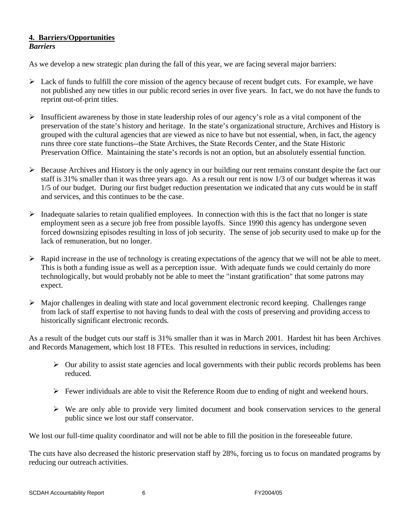#### **4. Barriers/Opportunities** *Barriers*

As we develop a new strategic plan during the fall of this year, we are facing several major barriers:

- $\triangleright$  Lack of funds to fulfill the core mission of the agency because of recent budget cuts. For example, we have not published any new titles in our public record series in over five years. In fact, we do not have the funds to reprint out-of-print titles.
- $\triangleright$  Insufficient awareness by those in state leadership roles of our agency's role as a vital component of the preservation of the state's history and heritage. In the state's organizational structure, Archives and History is grouped with the cultural agencies that are viewed as nice to have but not essential, when, in fact, the agency runs three core state functions--the State Archives, the State Records Center, and the State Historic Preservation Office. Maintaining the state's records is not an option, but an absolutely essential function.
- $\triangleright$  Because Archives and History is the only agency in our building our rent remains constant despite the fact our staff is 31% smaller than it was three years ago. As a result our rent is now 1/3 of our budget whereas it was 1/5 of our budget. During our first budget reduction presentation we indicated that any cuts would be in staff and services, and this continues to be the case.
- $\triangleright$  Inadequate salaries to retain qualified employees. In connection with this is the fact that no longer is state employment seen as a secure job free from possible layoffs. Since 1990 this agency has undergone seven forced downsizing episodes resulting in loss of job security. The sense of job security used to make up for the lack of remuneration, but no longer.
- $\triangleright$  Rapid increase in the use of technology is creating expectations of the agency that we will not be able to meet. This is both a funding issue as well as a perception issue. With adequate funds we could certainly do more technologically, but would probably not be able to meet the "instant gratification" that some patrons may expect.
- $\triangleright$  Major challenges in dealing with state and local government electronic record keeping. Challenges range from lack of staff expertise to not having funds to deal with the costs of preserving and providing access to historically significant electronic records.

As a result of the budget cuts our staff is 31% smaller than it was in March 2001. Hardest hit has been Archives and Records Management, which lost 18 FTEs. This resulted in reductions in services, including:

- $\triangleright$  Our ability to assist state agencies and local governments with their public records problems has been reduced.
- $\triangleright$  Fewer individuals are able to visit the Reference Room due to ending of night and weekend hours.
- $\triangleright$  We are only able to provide very limited document and book conservation services to the general public since we lost our staff conservator.

We lost our full-time quality coordinator and will not be able to fill the position in the foreseeable future.

The cuts have also decreased the historic preservation staff by 28%, forcing us to focus on mandated programs by reducing our outreach activities.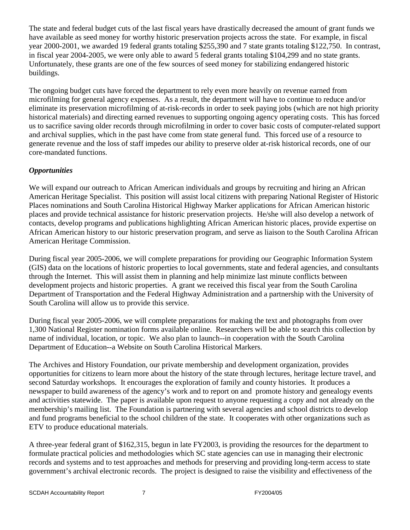The state and federal budget cuts of the last fiscal years have drastically decreased the amount of grant funds we have available as seed money for worthy historic preservation projects across the state. For example, in fiscal year 2000-2001, we awarded 19 federal grants totaling \$255,390 and 7 state grants totaling \$122,750. In contrast, in fiscal year 2004-2005, we were only able to award 5 federal grants totaling \$104,299 and no state grants. Unfortunately, these grants are one of the few sources of seed money for stabilizing endangered historic buildings.

The ongoing budget cuts have forced the department to rely even more heavily on revenue earned from microfilming for general agency expenses. As a result, the department will have to continue to reduce and/or eliminate its preservation microfilming of at-risk-records in order to seek paying jobs (which are not high priority historical materials) and directing earned revenues to supporting ongoing agency operating costs. This has forced us to sacrifice saving older records through microfilming in order to cover basic costs of computer-related support and archival supplies, which in the past have come from state general fund. This forced use of a resource to generate revenue and the loss of staff impedes our ability to preserve older at-risk historical records, one of our core-mandated functions.

# *Opportunities*

We will expand our outreach to African American individuals and groups by recruiting and hiring an African American Heritage Specialist. This position will assist local citizens with preparing National Register of Historic Places nominations and South Carolina Historical Highway Marker applications for African American historic places and provide technical assistance for historic preservation projects. He/she will also develop a network of contacts, develop programs and publications highlighting African American historic places, provide expertise on African American history to our historic preservation program, and serve as liaison to the South Carolina African American Heritage Commission.

During fiscal year 2005-2006, we will complete preparations for providing our Geographic Information System (GIS) data on the locations of historic properties to local governments, state and federal agencies, and consultants through the Internet. This will assist them in planning and help minimize last minute conflicts between development projects and historic properties. A grant we received this fiscal year from the South Carolina Department of Transportation and the Federal Highway Administration and a partnership with the University of South Carolina will allow us to provide this service.

During fiscal year 2005-2006, we will complete preparations for making the text and photographs from over 1,300 National Register nomination forms available online. Researchers will be able to search this collection by name of individual, location, or topic. We also plan to launch--in cooperation with the South Carolina Department of Education--a Website on South Carolina Historical Markers.

The Archives and History Foundation, our private membership and development organization, provides opportunities for citizens to learn more about the history of the state through lectures, heritage lecture travel, and second Saturday workshops. It encourages the exploration of family and county histories. It produces a newspaper to build awareness of the agency's work and to report on and promote history and genealogy events and activities statewide. The paper is available upon request to anyone requesting a copy and not already on the membership's mailing list. The Foundation is partnering with several agencies and school districts to develop and fund programs beneficial to the school children of the state. It cooperates with other organizations such as ETV to produce educational materials.

A three-year federal grant of \$162,315, begun in late FY2003, is providing the resources for the department to formulate practical policies and methodologies which SC state agencies can use in managing their electronic records and systems and to test approaches and methods for preserving and providing long-term access to state government's archival electronic records. The project is designed to raise the visibility and effectiveness of the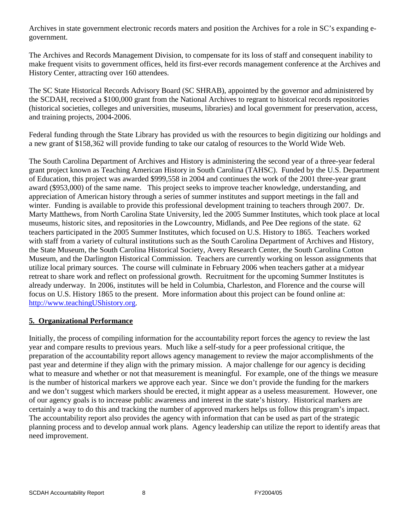Archives in state government electronic records maters and position the Archives for a role in SC's expanding egovernment.

The Archives and Records Management Division, to compensate for its loss of staff and consequent inability to make frequent visits to government offices, held its first-ever records management conference at the Archives and History Center, attracting over 160 attendees.

The SC State Historical Records Advisory Board (SC SHRAB), appointed by the governor and administered by the SCDAH, received a \$100,000 grant from the National Archives to regrant to historical records repositories (historical societies, colleges and universities, museums, libraries) and local government for preservation, access, and training projects, 2004-2006.

Federal funding through the State Library has provided us with the resources to begin digitizing our holdings and a new grant of \$158,362 will provide funding to take our catalog of resources to the World Wide Web.

The South Carolina Department of Archives and History is administering the second year of a three-year federal grant project known as Teaching American History in South Carolina (TAHSC). Funded by the U.S. Department of Education, this project was awarded \$999,558 in 2004 and continues the work of the 2001 three-year grant award (\$953,000) of the same name. This project seeks to improve teacher knowledge, understanding, and appreciation of American history through a series of summer institutes and support meetings in the fall and winter. Funding is available to provide this professional development training to teachers through 2007. Dr. Marty Matthews, from North Carolina State University, led the 2005 Summer Institutes, which took place at local museums, historic sites, and repositories in the Lowcountry, Midlands, and Pee Dee regions of the state. 62 teachers participated in the 2005 Summer Institutes, which focused on U.S. History to 1865. Teachers worked with staff from a variety of cultural institutions such as the South Carolina Department of Archives and History, the State Museum, the South Carolina Historical Society, Avery Research Center, the South Carolina Cotton Museum, and the Darlington Historical Commission. Teachers are currently working on lesson assignments that utilize local primary sources. The course will culminate in February 2006 when teachers gather at a midyear retreat to share work and reflect on professional growth. Recruitment for the upcoming Summer Institutes is already underway. In 2006, institutes will be held in Columbia, Charleston, and Florence and the course will focus on U.S. History 1865 to the present. More information about this project can be found online at: [http://www.teachingUShistory.org.](http://www.teachingushistory.org/)

#### **5. Organizational Performance**

Initially, the process of compiling information for the accountability report forces the agency to review the last year and compare results to previous years. Much like a self-study for a peer professional critique, the preparation of the accountability report allows agency management to review the major accomplishments of the past year and determine if they align with the primary mission. A major challenge for our agency is deciding what to measure and whether or not that measurement is meaningful. For example, one of the things we measure is the number of historical markers we approve each year. Since we don't provide the funding for the markers and we don't suggest which markers should be erected, it might appear as a useless measurement. However, one of our agency goals is to increase public awareness and interest in the state's history. Historical markers are certainly a way to do this and tracking the number of approved markers helps us follow this program's impact. The accountability report also provides the agency with information that can be used as part of the strategic planning process and to develop annual work plans. Agency leadership can utilize the report to identify areas that need improvement.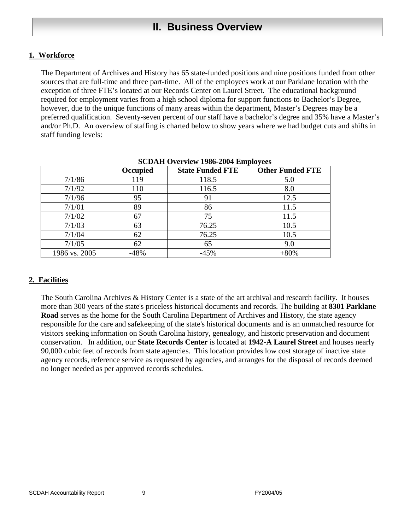# **II. Business Overview**

# **1. Workforce**

The Department of Archives and History has 65 state-funded positions and nine positions funded from other sources that are full-time and three part-time. All of the employees work at our Parklane location with the exception of three FTE's located at our Records Center on Laurel Street. The educational background required for employment varies from a high school diploma for support functions to Bachelor's Degree, however, due to the unique functions of many areas within the department, Master's Degrees may be a preferred qualification. Seventy-seven percent of our staff have a bachelor's degree and 35% have a Master's and/or Ph.D. An overview of staffing is charted below to show years where we had budget cuts and shifts in staff funding levels:

|               | Occupied | <b>State Funded FTE</b> | <b>Other Funded FTE</b> |
|---------------|----------|-------------------------|-------------------------|
| 7/1/86        | 119      | 118.5                   | 5.0                     |
| 7/1/92        | 110      | 116.5                   | 8.0                     |
| 7/1/96        | 95       | 91                      | 12.5                    |
| 7/1/01        | 89       | 86                      | 11.5                    |
| 7/1/02        | 67       | 75                      | 11.5                    |
| 7/1/03        | 63       | 76.25                   | 10.5                    |
| 7/1/04        | 62       | 76.25                   | 10.5                    |
| 7/1/05        | 62       | 65                      | 9.0                     |
| 1986 vs. 2005 | 48%      | $-45%$                  | $+80%$                  |

| <b>SCDAH Overview 1986-2004 Employees</b> |  |
|-------------------------------------------|--|
|-------------------------------------------|--|

# **2. Facilities**

The South Carolina Archives & History Center is a state of the art archival and research facility. It houses more than 300 years of the state's priceless historical documents and records. The building at **8301 Parklane Road** serves as the home for the South Carolina Department of Archives and History, the state agency responsible for the care and safekeeping of the state's historical documents and is an unmatched resource for visitors seeking information on South Carolina history, genealogy, and historic preservation and document conservation. In addition, our **State Records Center** is located at **1942-A Laurel Street** and houses nearly 90,000 cubic feet of records from state agencies. This location provides low cost storage of inactive state agency records, reference service as requested by agencies, and arranges for the disposal of records deemed no longer needed as per approved records schedules.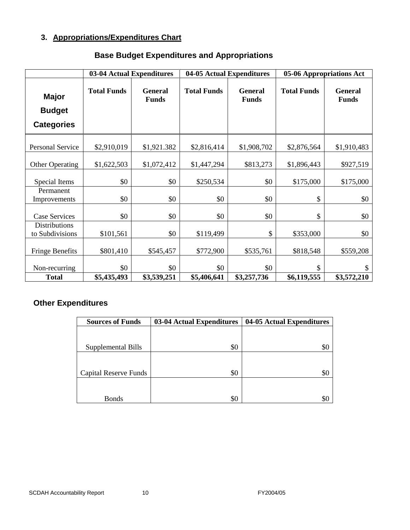# **3. Appropriations/Expenditures Chart**

|                                                    | 03-04 Actual Expenditures |                                | 04-05 Actual Expenditures |                                | 05-06 Appropriations Act |                                |
|----------------------------------------------------|---------------------------|--------------------------------|---------------------------|--------------------------------|--------------------------|--------------------------------|
| <b>Major</b><br><b>Budget</b><br><b>Categories</b> | <b>Total Funds</b>        | <b>General</b><br><b>Funds</b> | <b>Total Funds</b>        | <b>General</b><br><b>Funds</b> | <b>Total Funds</b>       | <b>General</b><br><b>Funds</b> |
| Personal Service                                   | \$2,910,019               | \$1,921.382                    | \$2,816,414               | \$1,908,702                    | \$2,876,564              | \$1,910,483                    |
| <b>Other Operating</b>                             | \$1,622,503               | \$1,072,412                    | \$1,447,294               | \$813,273                      | \$1,896,443              | \$927,519                      |
| Special Items                                      | \$0                       | \$0                            | \$250,534                 | \$0                            | \$175,000                | \$175,000                      |
| Permanent<br>Improvements                          | \$0                       | \$0                            | \$0                       | \$0                            | \$                       | \$0                            |
| Case Services                                      | \$0                       | \$0                            | \$0                       | \$0                            | \$                       | \$0                            |
| Distributions<br>to Subdivisions                   | \$101,561                 | \$0                            | \$119,499                 | \$                             | \$353,000                | \$0                            |
| <b>Fringe Benefits</b>                             | \$801,410                 | \$545,457                      | \$772,900                 | \$535,761                      | \$818,548                | \$559,208                      |
| Non-recurring                                      | \$0                       | \$0                            | \$0                       | \$0                            | \$                       | \$                             |
| <b>Total</b>                                       | \$5,435,493               | \$3,539,251                    | \$5,406,641               | \$3,257,736                    | \$6,119,555              | \$3,572,210                    |

# **Base Budget Expenditures and Appropriations**

# **Other Expenditures**

| <b>Sources of Funds</b>      | 03-04 Actual Expenditures | 04-05 Actual Expenditures |
|------------------------------|---------------------------|---------------------------|
|                              |                           |                           |
| Supplemental Bills           | \$0                       | SC                        |
|                              |                           |                           |
| <b>Capital Reserve Funds</b> | \$0                       | \$0                       |
|                              |                           |                           |
| <b>Bonds</b>                 | \$0                       | \$0                       |

#### SCDAH Accountability Report 10 10 and 10 FY2004/05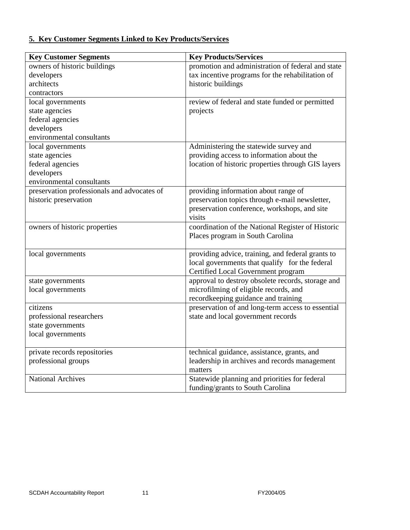# **5. Key Customer Segments Linked to Key Products/Services**

| <b>Key Customer Segments</b>                | <b>Key Products/Services</b>                       |
|---------------------------------------------|----------------------------------------------------|
| owners of historic buildings                | promotion and administration of federal and state  |
| developers                                  | tax incentive programs for the rehabilitation of   |
| architects                                  | historic buildings                                 |
| contractors                                 |                                                    |
| local governments                           | review of federal and state funded or permitted    |
| state agencies                              | projects                                           |
| federal agencies                            |                                                    |
| developers                                  |                                                    |
| environmental consultants                   |                                                    |
| local governments                           | Administering the statewide survey and             |
| state agencies                              | providing access to information about the          |
| federal agencies                            | location of historic properties through GIS layers |
| developers                                  |                                                    |
| environmental consultants                   |                                                    |
| preservation professionals and advocates of | providing information about range of               |
| historic preservation                       | preservation topics through e-mail newsletter,     |
|                                             | preservation conference, workshops, and site       |
|                                             | visits                                             |
| owners of historic properties               | coordination of the National Register of Historic  |
|                                             | Places program in South Carolina                   |
|                                             |                                                    |
| local governments                           | providing advice, training, and federal grants to  |
|                                             | local governments that qualify for the federal     |
|                                             | Certified Local Government program                 |
| state governments                           | approval to destroy obsolete records, storage and  |
| local governments                           | microfilming of eligible records, and              |
|                                             | recordkeeping guidance and training                |
| citizens                                    | preservation of and long-term access to essential  |
| professional researchers                    | state and local government records                 |
| state governments                           |                                                    |
| local governments                           |                                                    |
|                                             |                                                    |
| private records repositories                | technical guidance, assistance, grants, and        |
| professional groups                         | leadership in archives and records management      |
|                                             | matters                                            |
| <b>National Archives</b>                    | Statewide planning and priorities for federal      |
|                                             | funding/grants to South Carolina                   |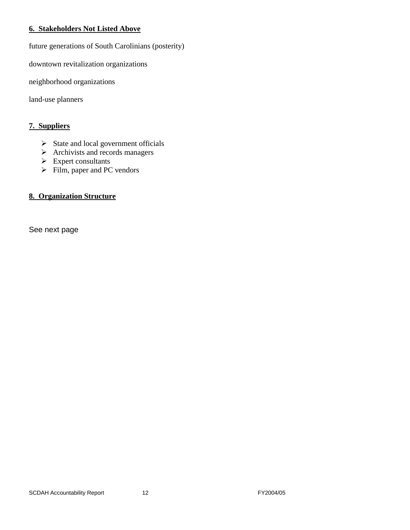#### **6. Stakeholders Not Listed Above**

future generations of South Carolinians (posterity)

downtown revitalization organizations

neighborhood organizations

land-use planners

## **7. Suppliers**

- $\triangleright$  State and local government officials
- $\triangleright$  Archivists and records managers
- $\triangleright$  Expert consultants
- $\triangleright$  Film, paper and PC vendors

# **8. Organization Structure**

See next page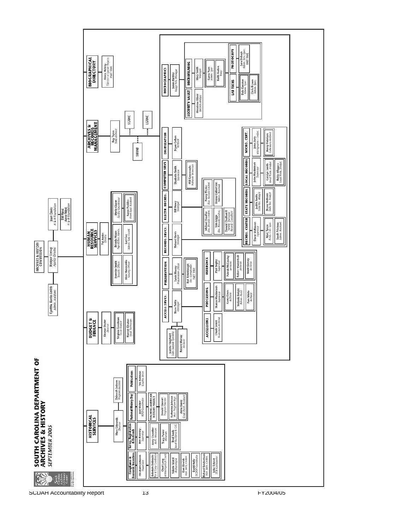

SCDAH Accountability Report 13 FY2004/05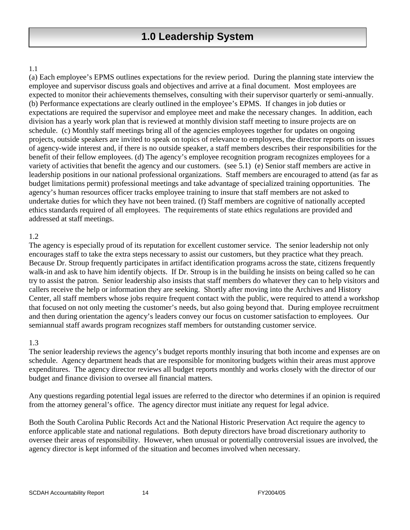#### 1.1

(a) Each employee's EPMS outlines expectations for the review period. During the planning state interview the employee and supervisor discuss goals and objectives and arrive at a final document. Most employees are expected to monitor their achievements themselves, consulting with their supervisor quarterly or semi-annually. (b) Performance expectations are clearly outlined in the employee's EPMS. If changes in job duties or expectations are required the supervisor and employee meet and make the necessary changes. In addition, each division has a yearly work plan that is reviewed at monthly division staff meeting to insure projects are on schedule. (c) Monthly staff meetings bring all of the agencies employees together for updates on ongoing projects, outside speakers are invited to speak on topics of relevance to employees, the director reports on issues of agency-wide interest and, if there is no outside speaker, a staff members describes their responsibilities for the benefit of their fellow employees. (d) The agency's employee recognition program recognizes employees for a variety of activities that benefit the agency and our customers. (see 5.1) (e) Senior staff members are active in leadership positions in our national professional organizations. Staff members are encouraged to attend (as far as budget limitations permit) professional meetings and take advantage of specialized training opportunities. The agency's human resources officer tracks employee training to insure that staff members are not asked to undertake duties for which they have not been trained. (f) Staff members are cognitive of nationally accepted ethics standards required of all employees. The requirements of state ethics regulations are provided and addressed at staff meetings.

#### 1.2

The agency is especially proud of its reputation for excellent customer service. The senior leadership not only encourages staff to take the extra steps necessary to assist our customers, but they practice what they preach. Because Dr. Stroup frequently participates in artifact identification programs across the state, citizens frequently walk-in and ask to have him identify objects. If Dr. Stroup is in the building he insists on being called so he can try to assist the patron. Senior leadership also insists that staff members do whatever they can to help visitors and callers receive the help or information they are seeking. Shortly after moving into the Archives and History Center, all staff members whose jobs require frequent contact with the public, were required to attend a workshop that focused on not only meeting the customer's needs, but also going beyond that. During employee recruitment and then during orientation the agency's leaders convey our focus on customer satisfaction to employees. Our semiannual staff awards program recognizes staff members for outstanding customer service.

#### 1.3

The senior leadership reviews the agency's budget reports monthly insuring that both income and expenses are on schedule. Agency department heads that are responsible for monitoring budgets within their areas must approve expenditures. The agency director reviews all budget reports monthly and works closely with the director of our budget and finance division to oversee all financial matters.

Any questions regarding potential legal issues are referred to the director who determines if an opinion is required from the attorney general's office. The agency director must initiate any request for legal advice.

Both the South Carolina Public Records Act and the National Historic Preservation Act require the agency to enforce applicable state and national regulations. Both deputy directors have broad discretionary authority to oversee their areas of responsibility. However, when unusual or potentially controversial issues are involved, the agency director is kept informed of the situation and becomes involved when necessary.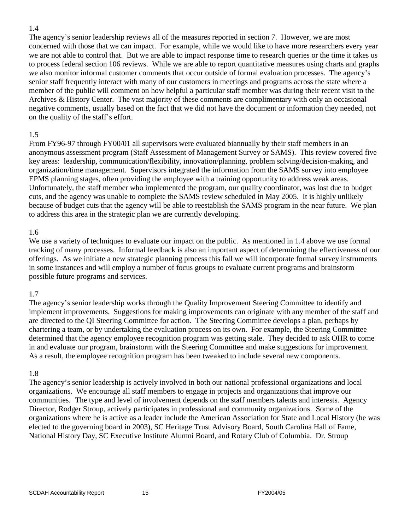#### 1.4

The agency's senior leadership reviews all of the measures reported in section 7. However, we are most concerned with those that we can impact. For example, while we would like to have more researchers every year we are not able to control that. But we are able to impact response time to research queries or the time it takes us to process federal section 106 reviews. While we are able to report quantitative measures using charts and graphs we also monitor informal customer comments that occur outside of formal evaluation processes. The agency's senior staff frequently interact with many of our customers in meetings and programs across the state where a member of the public will comment on how helpful a particular staff member was during their recent visit to the Archives & History Center. The vast majority of these comments are complimentary with only an occasional negative comments, usually based on the fact that we did not have the document or information they needed, not on the quality of the staff's effort.

#### 1.5

From FY96-97 through FY00/01 all supervisors were evaluated biannually by their staff members in an anonymous assessment program (Staff Assessment of Management Survey or SAMS). This review covered five key areas: leadership, communication/flexibility, innovation/planning, problem solving/decision-making, and organization/time management. Supervisors integrated the information from the SAMS survey into employee EPMS planning stages, often providing the employee with a training opportunity to address weak areas. Unfortunately, the staff member who implemented the program, our quality coordinator, was lost due to budget cuts, and the agency was unable to complete the SAMS review scheduled in May 2005. It is highly unlikely because of budget cuts that the agency will be able to reestablish the SAMS program in the near future. We plan to address this area in the strategic plan we are currently developing.

#### 1.6

We use a variety of techniques to evaluate our impact on the public. As mentioned in 1.4 above we use formal tracking of many processes. Informal feedback is also an important aspect of determining the effectiveness of our offerings. As we initiate a new strategic planning process this fall we will incorporate formal survey instruments in some instances and will employ a number of focus groups to evaluate current programs and brainstorm possible future programs and services.

#### 1.7

The agency's senior leadership works through the Quality Improvement Steering Committee to identify and implement improvements. Suggestions for making improvements can originate with any member of the staff and are directed to the QI Steering Committee for action. The Steering Committee develops a plan, perhaps by chartering a team, or by undertaking the evaluation process on its own. For example, the Steering Committee determined that the agency employee recognition program was getting stale. They decided to ask OHR to come in and evaluate our program, brainstorm with the Steering Committee and make suggestions for improvement. As a result, the employee recognition program has been tweaked to include several new components.

#### 1.8

The agency's senior leadership is actively involved in both our national professional organizations and local organizations. We encourage all staff members to engage in projects and organizations that improve our communities. The type and level of involvement depends on the staff members talents and interests. Agency Director, Rodger Stroup, actively participates in professional and community organizations. Some of the organizations where he is active as a leader include the American Association for State and Local History (he was elected to the governing board in 2003), SC Heritage Trust Advisory Board, South Carolina Hall of Fame, National History Day, SC Executive Institute Alumni Board, and Rotary Club of Columbia. Dr. Stroup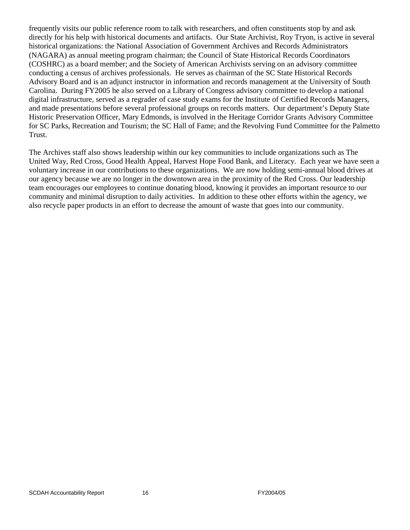frequently visits our public reference room to talk with researchers, and often constituents stop by and ask directly for his help with historical documents and artifacts. Our State Archivist, Roy Tryon, is active in several historical organizations: the National Association of Government Archives and Records Administrators (NAGARA) as annual meeting program chairman; the Council of State Historical Records Coordinators (COSHRC) as a board member; and the Society of American Archivists serving on an advisory committee conducting a census of archives professionals. He serves as chairman of the SC State Historical Records Advisory Board and is an adjunct instructor in information and records management at the University of South Carolina. During FY2005 he also served on a Library of Congress advisory committee to develop a national digital infrastructure, served as a regrader of case study exams for the Institute of Certified Records Managers, and made presentations before several professional groups on records matters. Our department's Deputy State Historic Preservation Officer, Mary Edmonds, is involved in the Heritage Corridor Grants Advisory Committee for SC Parks, Recreation and Tourism; the SC Hall of Fame; and the Revolving Fund Committee for the Palmetto Trust.

The Archives staff also shows leadership within our key communities to include organizations such as The United Way, Red Cross, Good Health Appeal, Harvest Hope Food Bank, and Literacy. Each year we have seen a voluntary increase in our contributions to these organizations. We are now holding semi-annual blood drives at our agency because we are no longer in the downtown area in the proximity of the Red Cross. Our leadership team encourages our employees to continue donating blood, knowing it provides an important resource to our community and minimal disruption to daily activities. In addition to these other efforts within the agency, we also recycle paper products in an effort to decrease the amount of waste that goes into our community.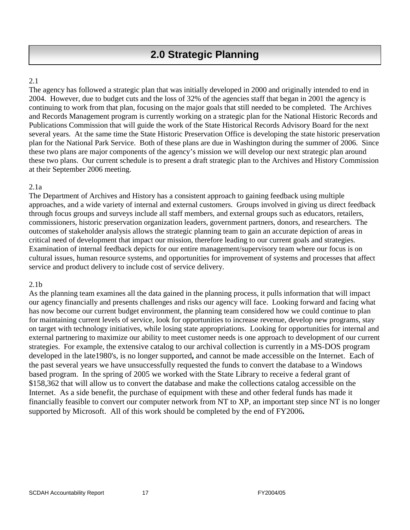# 2.1

The agency has followed a strategic plan that was initially developed in 2000 and originally intended to end in 2004. However, due to budget cuts and the loss of 32% of the agencies staff that began in 2001 the agency is continuing to work from that plan, focusing on the major goals that still needed to be completed. The Archives and Records Management program is currently working on a strategic plan for the National Historic Records and Publications Commission that will guide the work of the State Historical Records Advisory Board for the next several years. At the same time the State Historic Preservation Office is developing the state historic preservation plan for the National Park Service. Both of these plans are due in Washington during the summer of 2006. Since these two plans are major components of the agency's mission we will develop our next strategic plan around these two plans. Our current schedule is to present a draft strategic plan to the Archives and History Commission at their September 2006 meeting.

## 2.1a

The Department of Archives and History has a consistent approach to gaining feedback using multiple approaches, and a wide variety of internal and external customers. Groups involved in giving us direct feedback through focus groups and surveys include all staff members, and external groups such as educators, retailers, commissioners, historic preservation organization leaders, government partners, donors, and researchers. The outcomes of stakeholder analysis allows the strategic planning team to gain an accurate depiction of areas in critical need of development that impact our mission, therefore leading to our current goals and strategies. Examination of internal feedback depicts for our entire management/supervisory team where our focus is on cultural issues, human resource systems, and opportunities for improvement of systems and processes that affect service and product delivery to include cost of service delivery.

# 2.1b

As the planning team examines all the data gained in the planning process, it pulls information that will impact our agency financially and presents challenges and risks our agency will face. Looking forward and facing what has now become our current budget environment, the planning team considered how we could continue to plan for maintaining current levels of service, look for opportunities to increase revenue, develop new programs, stay on target with technology initiatives, while losing state appropriations. Looking for opportunities for internal and external partnering to maximize our ability to meet customer needs is one approach to development of our current strategies. For example, the extensive catalog to our archival collection is currently in a MS-DOS program developed in the late1980's, is no longer supported**,** and cannot be made accessible on the Internet. Each of the past several years we have unsuccessfully requested the funds to convert the database to a Windows based program. In the spring of 2005 we worked with the State Library to receive a federal grant of \$158,362 that will allow us to convert the database and make the collections catalog accessible on the Internet. As a side benefit, the purchase of equipment with these and other federal funds has made it financially feasible to convert our computer network from NT to XP, an important step since NT is no longer supported by Microsoft. All of this work should be completed by the end of FY2006**.**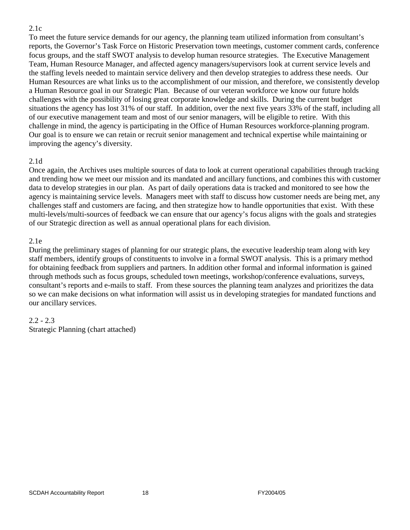#### 2.1c

To meet the future service demands for our agency, the planning team utilized information from consultant's reports, the Governor's Task Force on Historic Preservation town meetings, customer comment cards, conference focus groups, and the staff SWOT analysis to develop human resource strategies. The Executive Management Team, Human Resource Manager, and affected agency managers/supervisors look at current service levels and the staffing levels needed to maintain service delivery and then develop strategies to address these needs. Our Human Resources are what links us to the accomplishment of our mission, and therefore, we consistently develop a Human Resource goal in our Strategic Plan. Because of our veteran workforce we know our future holds challenges with the possibility of losing great corporate knowledge and skills. During the current budget situations the agency has lost 31% of our staff. In addition, over the next five years 33% of the staff, including all of our executive management team and most of our senior managers, will be eligible to retire. With this challenge in mind, the agency is participating in the Office of Human Resources workforce-planning program. Our goal is to ensure we can retain or recruit senior management and technical expertise while maintaining or improving the agency's diversity.

#### 2.1d

Once again, the Archives uses multiple sources of data to look at current operational capabilities through tracking and trending how we meet our mission and its mandated and ancillary functions, and combines this with customer data to develop strategies in our plan. As part of daily operations data is tracked and monitored to see how the agency is maintaining service levels. Managers meet with staff to discuss how customer needs are being met, any challenges staff and customers are facing, and then strategize how to handle opportunities that exist. With these multi-levels/multi-sources of feedback we can ensure that our agency's focus aligns with the goals and strategies of our Strategic direction as well as annual operational plans for each division.

#### 2.1e

During the preliminary stages of planning for our strategic plans, the executive leadership team along with key staff members, identify groups of constituents to involve in a formal SWOT analysis. This is a primary method for obtaining feedback from suppliers and partners. In addition other formal and informal information is gained through methods such as focus groups, scheduled town meetings, workshop/conference evaluations, surveys, consultant's reports and e-mails to staff. From these sources the planning team analyzes and prioritizes the data so we can make decisions on what information will assist us in developing strategies for mandated functions and our ancillary services.

#### 2.2 - 2.3

Strategic Planning (chart attached)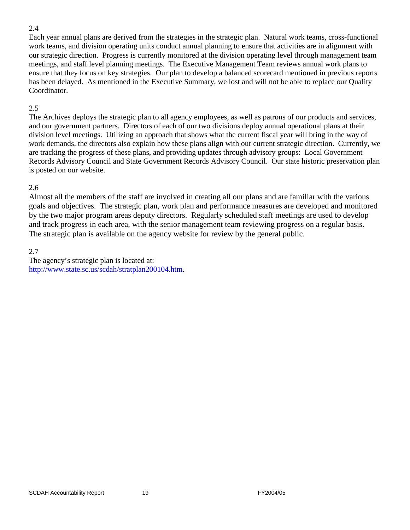#### 2.4

Each year annual plans are derived from the strategies in the strategic plan. Natural work teams, cross-functional work teams, and division operating units conduct annual planning to ensure that activities are in alignment with our strategic direction. Progress is currently monitored at the division operating level through management team meetings, and staff level planning meetings. The Executive Management Team reviews annual work plans to ensure that they focus on key strategies. Our plan to develop a balanced scorecard mentioned in previous reports has been delayed. As mentioned in the Executive Summary, we lost and will not be able to replace our Quality Coordinator.

### 2.5

The Archives deploys the strategic plan to all agency employees, as well as patrons of our products and services, and our government partners. Directors of each of our two divisions deploy annual operational plans at their division level meetings. Utilizing an approach that shows what the current fiscal year will bring in the way of work demands, the directors also explain how these plans align with our current strategic direction. Currently, we are tracking the progress of these plans, and providing updates through advisory groups: Local Government Records Advisory Council and State Government Records Advisory Council. Our state historic preservation plan is posted on our website.

## 2.6

Almost all the members of the staff are involved in creating all our plans and are familiar with the various goals and objectives. The strategic plan, work plan and performance measures are developed and monitored by the two major program areas deputy directors. Regularly scheduled staff meetings are used to develop and track progress in each area, with the senior management team reviewing progress on a regular basis. The strategic plan is available on the agency website for review by the general public.

2.7

The agency's strategic plan is located at: [http://www.state.sc.us/scdah/stratplan200104.htm.](http://www.state.sc.us/scdah/stratplan200104.htm)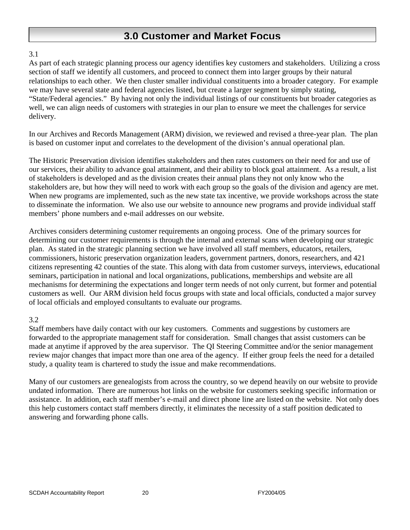# **3.0 Customer and Market Focus**

## 3.1

As part of each strategic planning process our agency identifies key customers and stakeholders. Utilizing a cross section of staff we identify all customers, and proceed to connect them into larger groups by their natural relationships to each other. We then cluster smaller individual constituents into a broader category. For example we may have several state and federal agencies listed, but create a larger segment by simply stating, "State/Federal agencies." By having not only the individual listings of our constituents but broader categories as well, we can align needs of customers with strategies in our plan to ensure we meet the challenges for service delivery.

In our Archives and Records Management (ARM) division, we reviewed and revised a three-year plan. The plan is based on customer input and correlates to the development of the division's annual operational plan.

The Historic Preservation division identifies stakeholders and then rates customers on their need for and use of our services, their ability to advance goal attainment, and their ability to block goal attainment. As a result, a list of stakeholders is developed and as the division creates their annual plans they not only know who the stakeholders are, but how they will need to work with each group so the goals of the division and agency are met. When new programs are implemented, such as the new state tax incentive, we provide workshops across the state to disseminate the information. We also use our website to announce new programs and provide individual staff members' phone numbers and e-mail addresses on our website.

Archives considers determining customer requirements an ongoing process. One of the primary sources for determining our customer requirements is through the internal and external scans when developing our strategic plan. As stated in the strategic planning section we have involved all staff members, educators, retailers, commissioners, historic preservation organization leaders, government partners, donors, researchers, and 421 citizens representing 42 counties of the state. This along with data from customer surveys, interviews, educational seminars, participation in national and local organizations, publications, memberships and website are all mechanisms for determining the expectations and longer term needs of not only current, but former and potential customers as well. Our ARM division held focus groups with state and local officials, conducted a major survey of local officials and employed consultants to evaluate our programs.

# 3.2

Staff members have daily contact with our key customers. Comments and suggestions by customers are forwarded to the appropriate management staff for consideration. Small changes that assist customers can be made at anytime if approved by the area supervisor. The QI Steering Committee and/or the senior management review major changes that impact more than one area of the agency. If either group feels the need for a detailed study, a quality team is chartered to study the issue and make recommendations.

Many of our customers are genealogists from across the country, so we depend heavily on our website to provide undated information. There are numerous hot links on the website for customers seeking specific information or assistance. In addition, each staff member's e-mail and direct phone line are listed on the website. Not only does this help customers contact staff members directly, it eliminates the necessity of a staff position dedicated to answering and forwarding phone calls.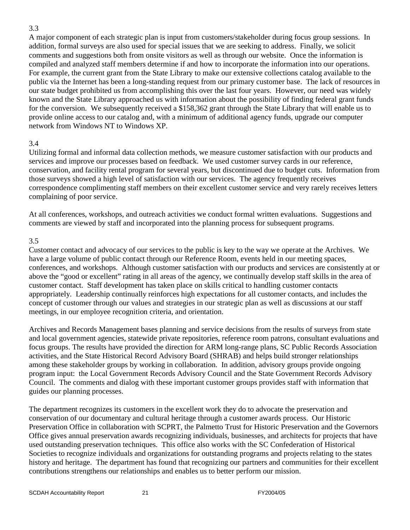#### 3.3

A major component of each strategic plan is input from customers/stakeholder during focus group sessions. In addition, formal surveys are also used for special issues that we are seeking to address. Finally, we solicit comments and suggestions both from onsite visitors as well as through our website. Once the information is compiled and analyzed staff members determine if and how to incorporate the information into our operations. For example, the current grant from the State Library to make our extensive collections catalog available to the public via the Internet has been a long-standing request from our primary customer base. The lack of resources in our state budget prohibited us from accomplishing this over the last four years. However, our need was widely known and the State Library approached us with information about the possibility of finding federal grant funds for the conversion. We subsequently received a \$158,362 grant through the State Library that will enable us to provide online access to our catalog and, with a minimum of additional agency funds, upgrade our computer network from Windows NT to Windows XP.

## 3.4

Utilizing formal and informal data collection methods, we measure customer satisfaction with our products and services and improve our processes based on feedback. We used customer survey cards in our reference, conservation, and facility rental program for several years, but discontinued due to budget cuts. Information from those surveys showed a high level of satisfaction with our services. The agency frequently receives correspondence complimenting staff members on their excellent customer service and very rarely receives letters complaining of poor service.

At all conferences, workshops, and outreach activities we conduct formal written evaluations. Suggestions and comments are viewed by staff and incorporated into the planning process for subsequent programs.

#### 3.5

Customer contact and advocacy of our services to the public is key to the way we operate at the Archives. We have a large volume of public contact through our Reference Room, events held in our meeting spaces, conferences, and workshops. Although customer satisfaction with our products and services are consistently at or above the "good or excellent" rating in all areas of the agency, we continually develop staff skills in the area of customer contact. Staff development has taken place on skills critical to handling customer contacts appropriately. Leadership continually reinforces high expectations for all customer contacts, and includes the concept of customer through our values and strategies in our strategic plan as well as discussions at our staff meetings, in our employee recognition criteria, and orientation.

Archives and Records Management bases planning and service decisions from the results of surveys from state and local government agencies, statewide private repositories, reference room patrons, consultant evaluations and focus groups. The results have provided the direction for ARM long-range plans, SC Public Records Association activities, and the State Historical Record Advisory Board (SHRAB) and helps build stronger relationships among these stakeholder groups by working in collaboration. In addition, advisory groups provide ongoing program input: the Local Government Records Advisory Council and the State Government Records Advisory Council. The comments and dialog with these important customer groups provides staff with information that guides our planning processes.

The department recognizes its customers in the excellent work they do to advocate the preservation and conservation of our documentary and cultural heritage through a customer awards process. Our Historic Preservation Office in collaboration with SCPRT, the Palmetto Trust for Historic Preservation and the Governors Office gives annual preservation awards recognizing individuals, businesses, and architects for projects that have used outstanding preservation techniques. This office also works with the SC Confederation of Historical Societies to recognize individuals and organizations for outstanding programs and projects relating to the states history and heritage. The department has found that recognizing our partners and communities for their excellent contributions strengthens our relationships and enables us to better perform our mission.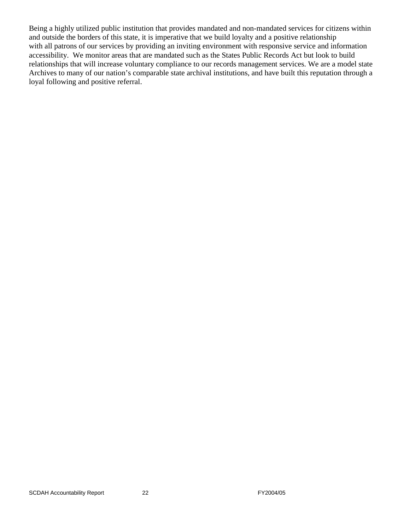Being a highly utilized public institution that provides mandated and non-mandated services for citizens within and outside the borders of this state, it is imperative that we build loyalty and a positive relationship with all patrons of our services by providing an inviting environment with responsive service and information accessibility. We monitor areas that are mandated such as the States Public Records Act but look to build relationships that will increase voluntary compliance to our records management services. We are a model state Archives to many of our nation's comparable state archival institutions, and have built this reputation through a loyal following and positive referral.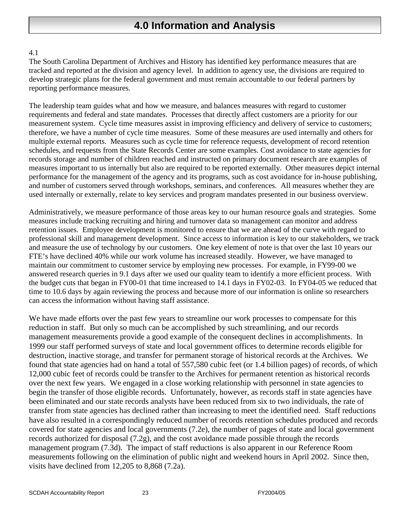# **4.0 Information and Analysis**

## 4.1

The South Carolina Department of Archives and History has identified key performance measures that are tracked and reported at the division and agency level. In addition to agency use, the divisions are required to develop strategic plans for the federal government and must remain accountable to our federal partners by reporting performance measures.

The leadership team guides what and how we measure, and balances measures with regard to customer requirements and federal and state mandates. Processes that directly affect customers are a priority for our measurement system. Cycle time measures assist in improving efficiency and delivery of service to customers; therefore, we have a number of cycle time measures. Some of these measures are used internally and others for multiple external reports. Measures such as cycle time for reference requests, development of record retention schedules, and requests from the State Records Center are some examples. Cost avoidance to state agencies for records storage and number of children reached and instructed on primary document research are examples of measures important to us internally but also are required to be reported externally. Other measures depict internal performance for the management of the agency and its programs, such as cost avoidance for in-house publishing, and number of customers served through workshops, seminars, and conferences. All measures whether they are used internally or externally, relate to key services and program mandates presented in our business overview.

Administratively, we measure performance of those areas key to our human resource goals and strategies. Some measures include tracking recruiting and hiring and turnover data so management can monitor and address retention issues. Employee development is monitored to ensure that we are ahead of the curve with regard to professional skill and management development. Since access to information is key to our stakeholders, we track and measure the use of technology by our customers. One key element of note is that over the last 10 years our FTE's have declined 40% while our work volume has increased steadily. However, we have managed to maintain our commitment to customer service by employing new processes. For example, in FY99-00 we answered research queries in 9.1 days after we used our quality team to identify a more efficient process. With the budget cuts that began in FY00-01 that time increased to 14.1 days in FY02-03. In FY04-05 we reduced that time to 10.6 days by again reviewing the process and because more of our information is online so researchers can access the information without having staff assistance.

We have made efforts over the past few years to streamline our work processes to compensate for this reduction in staff. But only so much can be accomplished by such streamlining, and our records management measurements provide a good example of the consequent declines in accomplishments. In 1999 our staff performed surveys of state and local government offices to determine records eligible for destruction, inactive storage, and transfer for permanent storage of historical records at the Archives. We found that state agencies had on hand a total of 557,580 cubic feet (or 1.4 billion pages) of records, of which 12,000 cubic feet of records could be transfer to the Archives for permanent retention as historical records over the next few years. We engaged in a close working relationship with personnel in state agencies to begin the transfer of those eligible records. Unfortunately, however, as records staff in state agencies have been eliminated and our state records analysts have been reduced from six to two individuals, the rate of transfer from state agencies has declined rather than increasing to meet the identified need. Staff reductions have also resulted in a correspondingly reduced number of records retention schedules produced and records covered for state agencies and local governments (7.2e), the number of pages of state and local government records authorized for disposal (7.2g), and the cost avoidance made possible through the records management program (7.3d). The impact of staff reductions is also apparent in our Reference Room measurements following on the elimination of public night and weekend hours in April 2002. Since then, visits have declined from 12,205 to 8,868 (7.2a).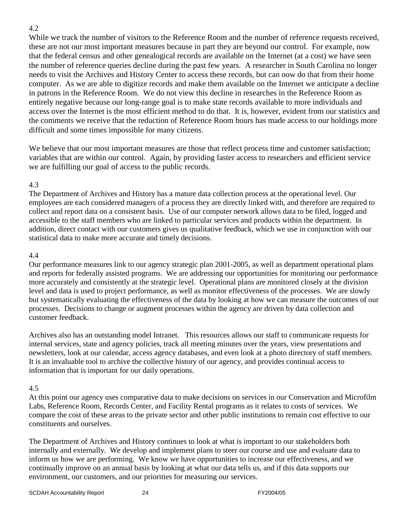### 4.2

While we track the number of visitors to the Reference Room and the number of reference requests received, these are not our most important measures because in part they are beyond our control. For example, now that the federal census and other genealogical records are available on the Internet (at a cost) we have seen the number of reference queries decline during the past few years. A researcher in South Carolina no longer needs to visit the Archives and History Center to access these records, but can now do that from their home computer. As we are able to digitize records and make them available on the Internet we anticipate a decline in patrons in the Reference Room. We do not view this decline in researches in the Reference Room as entirely negative because our long-range goal is to make state records available to more individuals and access over the Internet is the most efficient method to do that. It is, however, evident from our statistics and the comments we receive that the reduction of Reference Room hours has made access to our holdings more difficult and some times impossible for many citizens.

We believe that our most important measures are those that reflect process time and customer satisfaction; variables that are within our control. Again, by providing faster access to researchers and efficient service we are fulfilling our goal of access to the public records.

#### 4.3

The Department of Archives and History has a mature data collection process at the operational level. Our employees are each considered managers of a process they are directly linked with, and therefore are required to collect and report data on a consistent basis. Use of our computer network allows data to be filed, logged and accessible to the staff members who are linked to particular services and products within the department. In addition, direct contact with our customers gives us qualitative feedback, which we use in conjunction with our statistical data to make more accurate and timely decisions.

## 4.4

Our performance measures link to our agency strategic plan 2001-2005, as well as department operational plans and reports for federally assisted programs. We are addressing our opportunities for monitoring our performance more accurately and consistently at the strategic level. Operational plans are monitored closely at the division level and data is used to project performance, as well as monitor effectiveness of the processes. We are slowly but systematically evaluating the effectiveness of the data by looking at how we can measure the outcomes of our processes. Decisions to change or augment processes within the agency are driven by data collection and customer feedback.

Archives also has an outstanding model Intranet. This resources allows our staff to communicate requests for internal services, state and agency policies, track all meeting minutes over the years, view presentations and newsletters, look at our calendar, access agency databases, and even look at a photo directory of staff members. It is an invaluable tool to archive the collective history of our agency, and provides continual access to information that is important for our daily operations.

# 4.5

At this point our agency uses comparative data to make decisions on services in our Conservation and Microfilm Labs, Reference Room, Records Center, and Facility Rental programs as it relates to costs of services. We compare the cost of these areas to the private sector and other public institutions to remain cost effective to our constituents and ourselves.

The Department of Archives and History continues to look at what is important to our stakeholders both internally and externally. We develop and implement plans to steer our course and use and evaluate data to inform us how we are performing. We know we have opportunities to increase our effectiveness, and we continually improve on an annual basis by looking at what our data tells us, and if this data supports our environment, our customers, and our priorities for measuring our services.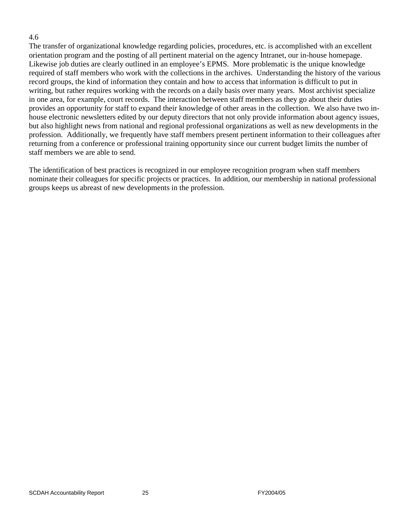#### 4.6

The transfer of organizational knowledge regarding policies, procedures, etc. is accomplished with an excellent orientation program and the posting of all pertinent material on the agency Intranet, our in-house homepage. Likewise job duties are clearly outlined in an employee's EPMS. More problematic is the unique knowledge required of staff members who work with the collections in the archives. Understanding the history of the various record groups, the kind of information they contain and how to access that information is difficult to put in writing, but rather requires working with the records on a daily basis over many years. Most archivist specialize in one area, for example, court records. The interaction between staff members as they go about their duties provides an opportunity for staff to expand their knowledge of other areas in the collection. We also have two inhouse electronic newsletters edited by our deputy directors that not only provide information about agency issues, but also highlight news from national and regional professional organizations as well as new developments in the profession. Additionally, we frequently have staff members present pertinent information to their colleagues after returning from a conference or professional training opportunity since our current budget limits the number of staff members we are able to send.

The identification of best practices is recognized in our employee recognition program when staff members nominate their colleagues for specific projects or practices. In addition, our membership in national professional groups keeps us abreast of new developments in the profession.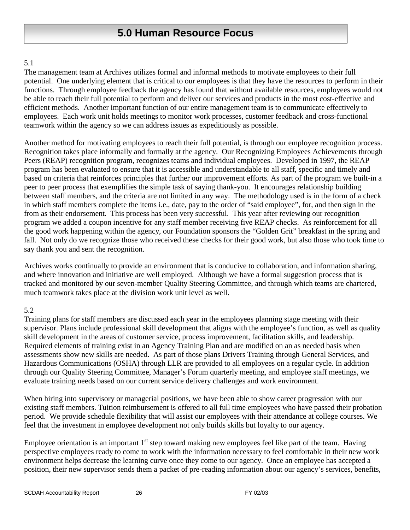# **5.0 Human Resource Focus**

#### 5.1

The management team at Archives utilizes formal and informal methods to motivate employees to their full potential. One underlying element that is critical to our employees is that they have the resources to perform in their functions. Through employee feedback the agency has found that without available resources, employees would not be able to reach their full potential to perform and deliver our services and products in the most cost-effective and efficient methods. Another important function of our entire management team is to communicate effectively to employees. Each work unit holds meetings to monitor work processes, customer feedback and cross-functional teamwork within the agency so we can address issues as expeditiously as possible.

Another method for motivating employees to reach their full potential, is through our employee recognition process. Recognition takes place informally and formally at the agency. Our Recognizing Employees Achievements through Peers (REAP) recognition program, recognizes teams and individual employees. Developed in 1997, the REAP program has been evaluated to ensure that it is accessible and understandable to all staff, specific and timely and based on criteria that reinforces principles that further our improvement efforts. As part of the program we built-in a peer to peer process that exemplifies the simple task of saying thank-you. It encourages relationship building between staff members, and the criteria are not limited in any way. The methodology used is in the form of a check in which staff members complete the items i.e., date, pay to the order of "said employee", for, and then sign in the from as their endorsement. This process has been very successful. This year after reviewing our recognition program we added a coupon incentive for any staff member receiving five REAP checks. As reinforcement for all the good work happening within the agency, our Foundation sponsors the "Golden Grit" breakfast in the spring and fall. Not only do we recognize those who received these checks for their good work, but also those who took time to say thank you and sent the recognition.

Archives works continually to provide an environment that is conducive to collaboration, and information sharing, and where innovation and initiative are well employed. Although we have a formal suggestion process that is tracked and monitored by our seven-member Quality Steering Committee, and through which teams are chartered, much teamwork takes place at the division work unit level as well.

#### 5.2

Training plans for staff members are discussed each year in the employees planning stage meeting with their supervisor. Plans include professional skill development that aligns with the employee's function, as well as quality skill development in the areas of customer service, process improvement, facilitation skills, and leadership. Required elements of training exist in an Agency Training Plan and are modified on an as needed basis when assessments show new skills are needed. As part of those plans Drivers Training through General Services, and Hazardous Communications (OSHA) through LLR are provided to all employees on a regular cycle. In addition through our Quality Steering Committee, Manager's Forum quarterly meeting, and employee staff meetings, we evaluate training needs based on our current service delivery challenges and work environment.

When hiring into supervisory or managerial positions, we have been able to show career progression with our existing staff members. Tuition reimbursement is offered to all full time employees who have passed their probation period. We provide schedule flexibility that will assist our employees with their attendance at college courses. We feel that the investment in employee development not only builds skills but loyalty to our agency.

Employee orientation is an important  $1<sup>st</sup>$  step toward making new employees feel like part of the team. Having perspective employees ready to come to work with the information necessary to feel comfortable in their new work environment helps decrease the learning curve once they come to our agency. Once an employee has accepted a position, their new supervisor sends them a packet of pre-reading information about our agency's services, benefits,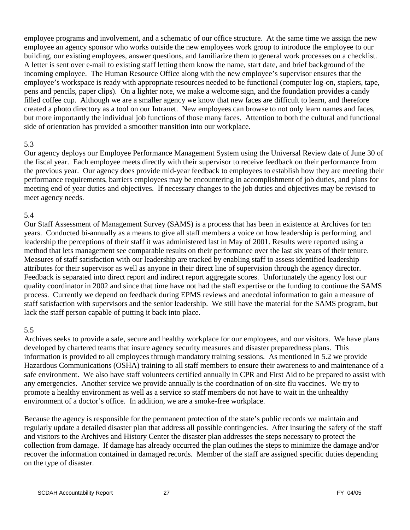employee programs and involvement, and a schematic of our office structure. At the same time we assign the new employee an agency sponsor who works outside the new employees work group to introduce the employee to our building, our existing employees, answer questions, and familiarize them to general work processes on a checklist. A letter is sent over e-mail to existing staff letting them know the name, start date, and brief background of the incoming employee. The Human Resource Office along with the new employee's supervisor ensures that the employee's workspace is ready with appropriate resources needed to be functional (computer log-on, staplers, tape, pens and pencils, paper clips). On a lighter note, we make a welcome sign, and the foundation provides a candy filled coffee cup. Although we are a smaller agency we know that new faces are difficult to learn, and therefore created a photo directory as a tool on our Intranet. New employees can browse to not only learn names and faces, but more importantly the individual job functions of those many faces. Attention to both the cultural and functional side of orientation has provided a smoother transition into our workplace.

#### 5.3

Our agency deploys our Employee Performance Management System using the Universal Review date of June 30 of the fiscal year. Each employee meets directly with their supervisor to receive feedback on their performance from the previous year. Our agency does provide mid-year feedback to employees to establish how they are meeting their performance requirements, barriers employees may be encountering in accomplishment of job duties, and plans for meeting end of year duties and objectives. If necessary changes to the job duties and objectives may be revised to meet agency needs.

#### 5.4

Our Staff Assessment of Management Survey (SAMS) is a process that has been in existence at Archives for ten years. Conducted bi-annually as a means to give all staff members a voice on how leadership is performing, and leadership the perceptions of their staff it was administered last in May of 2001. Results were reported using a method that lets management see comparable results on their performance over the last six years of their tenure. Measures of staff satisfaction with our leadership are tracked by enabling staff to assess identified leadership attributes for their supervisor as well as anyone in their direct line of supervision through the agency director. Feedback is separated into direct report and indirect report aggregate scores. Unfortunately the agency lost our quality coordinator in 2002 and since that time have not had the staff expertise or the funding to continue the SAMS process. Currently we depend on feedback during EPMS reviews and anecdotal information to gain a measure of staff satisfaction with supervisors and the senior leadership. We still have the material for the SAMS program, but lack the staff person capable of putting it back into place.

#### 5.5

Archives seeks to provide a safe, secure and healthy workplace for our employees, and our visitors. We have plans developed by chartered teams that insure agency security measures and disaster preparedness plans. This information is provided to all employees through mandatory training sessions. As mentioned in 5.2 we provide Hazardous Communications (OSHA) training to all staff members to ensure their awareness to and maintenance of a safe environment. We also have staff volunteers certified annually in CPR and First Aid to be prepared to assist with any emergencies. Another service we provide annually is the coordination of on-site flu vaccines. We try to promote a healthy environment as well as a service so staff members do not have to wait in the unhealthy environment of a doctor's office. In addition, we are a smoke-free workplace.

Because the agency is responsible for the permanent protection of the state's public records we maintain and regularly update a detailed disaster plan that address all possible contingencies. After insuring the safety of the staff and visitors to the Archives and History Center the disaster plan addresses the steps necessary to protect the collection from damage. If damage has already occurred the plan outlines the steps to minimize the damage and/or recover the information contained in damaged records. Member of the staff are assigned specific duties depending on the type of disaster.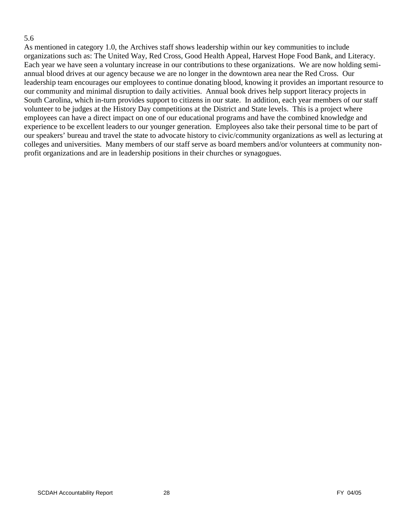#### 5.6

As mentioned in category 1.0, the Archives staff shows leadership within our key communities to include organizations such as: The United Way, Red Cross, Good Health Appeal, Harvest Hope Food Bank, and Literacy. Each year we have seen a voluntary increase in our contributions to these organizations. We are now holding semiannual blood drives at our agency because we are no longer in the downtown area near the Red Cross. Our leadership team encourages our employees to continue donating blood, knowing it provides an important resource to our community and minimal disruption to daily activities. Annual book drives help support literacy projects in South Carolina, which in-turn provides support to citizens in our state. In addition, each year members of our staff volunteer to be judges at the History Day competitions at the District and State levels. This is a project where employees can have a direct impact on one of our educational programs and have the combined knowledge and experience to be excellent leaders to our younger generation. Employees also take their personal time to be part of our speakers' bureau and travel the state to advocate history to civic/community organizations as well as lecturing at colleges and universities. Many members of our staff serve as board members and/or volunteers at community nonprofit organizations and are in leadership positions in their churches or synagogues.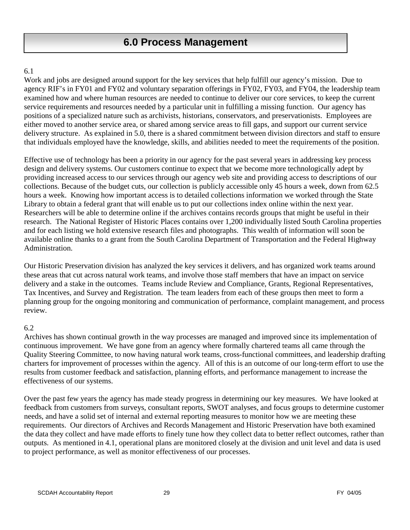# **6.0 Process Management**

## 6.1

Work and jobs are designed around support for the key services that help fulfill our agency's mission. Due to agency RIF's in FY01 and FY02 and voluntary separation offerings in FY02, FY03, and FY04, the leadership team examined how and where human resources are needed to continue to deliver our core services, to keep the current service requirements and resources needed by a particular unit in fulfilling a missing function. Our agency has positions of a specialized nature such as archivists, historians, conservators, and preservationists. Employees are either moved to another service area, or shared among service areas to fill gaps, and support our current service delivery structure. As explained in 5.0, there is a shared commitment between division directors and staff to ensure that individuals employed have the knowledge, skills, and abilities needed to meet the requirements of the position.

Effective use of technology has been a priority in our agency for the past several years in addressing key process design and delivery systems. Our customers continue to expect that we become more technologically adept by providing increased access to our services through our agency web site and providing access to descriptions of our collections. Because of the budget cuts, our collection is publicly accessible only 45 hours a week, down from 62.5 hours a week. Knowing how important access is to detailed collections information we worked through the State Library to obtain a federal grant that will enable us to put our collections index online within the next year. Researchers will be able to determine online if the archives contains records groups that might be useful in their research. The National Register of Historic Places contains over 1,200 individually listed South Carolina properties and for each listing we hold extensive research files and photographs. This wealth of information will soon be available online thanks to a grant from the South Carolina Department of Transportation and the Federal Highway Administration.

Our Historic Preservation division has analyzed the key services it delivers, and has organized work teams around these areas that cut across natural work teams, and involve those staff members that have an impact on service delivery and a stake in the outcomes. Teams include Review and Compliance, Grants, Regional Representatives, Tax Incentives, and Survey and Registration. The team leaders from each of these groups then meet to form a planning group for the ongoing monitoring and communication of performance, complaint management, and process review.

# 6.2

Archives has shown continual growth in the way processes are managed and improved since its implementation of continuous improvement. We have gone from an agency where formally chartered teams all came through the Quality Steering Committee, to now having natural work teams, cross-functional committees, and leadership drafting charters for improvement of processes within the agency. All of this is an outcome of our long-term effort to use the results from customer feedback and satisfaction, planning efforts, and performance management to increase the effectiveness of our systems.

Over the past few years the agency has made steady progress in determining our key measures. We have looked at feedback from customers from surveys, consultant reports, SWOT analyses, and focus groups to determine customer needs, and have a solid set of internal and external reporting measures to monitor how we are meeting these requirements. Our directors of Archives and Records Management and Historic Preservation have both examined the data they collect and have made efforts to finely tune how they collect data to better reflect outcomes, rather than outputs. As mentioned in 4.1, operational plans are monitored closely at the division and unit level and data is used to project performance, as well as monitor effectiveness of our processes.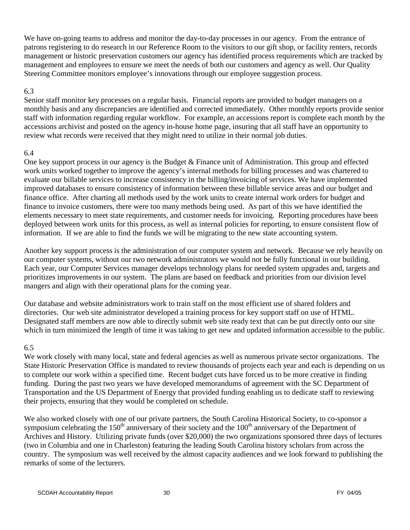We have on-going teams to address and monitor the day-to-day processes in our agency. From the entrance of patrons registering to do research in our Reference Room to the visitors to our gift shop, or facility renters, records management or historic preservation customers our agency has identified process requirements which are tracked by management and employees to ensure we meet the needs of both our customers and agency as well. Our Quality Steering Committee monitors employee's innovations through our employee suggestion process.

#### 6.3

Senior staff monitor key processes on a regular basis. Financial reports are provided to budget managers on a monthly basis and any discrepancies are identified and corrected immediately. Other monthly reports provide senior staff with information regarding regular workflow. For example, an accessions report is complete each month by the accessions archivist and posted on the agency in-house home page, insuring that all staff have an opportunity to review what records were received that they might need to utilize in their normal job duties.

#### 6.4

One key support process in our agency is the Budget & Finance unit of Administration. This group and effected work units worked together to improve the agency's internal methods for billing processes and was chartered to evaluate our billable services to increase consistency in the billing/invoicing of services. We have implemented improved databases to ensure consistency of information between these billable service areas and our budget and finance office. After charting all methods used by the work units to create internal work orders for budget and finance to invoice customers, there were too many methods being used. As part of this we have identified the elements necessary to meet state requirements, and customer needs for invoicing. Reporting procedures have been deployed between work units for this process, as well as internal policies for reporting, to ensure consistent flow of information. If we are able to find the funds we will be migrating to the new state accounting system.

Another key support process is the administration of our computer system and network. Because we rely heavily on our computer systems, without our two network administrators we would not be fully functional in our building. Each year, our Computer Services manager develops technology plans for needed system upgrades and, targets and prioritizes improvements in our system. The plans are based on feedback and priorities from our division level mangers and align with their operational plans for the coming year.

Our database and website administrators work to train staff on the most efficient use of shared folders and directories. Our web site administrator developed a training process for key support staff on use of HTML. Designated staff members are now able to directly submit web site ready text that can be put directly onto our site which in turn minimized the length of time it was taking to get new and updated information accessible to the public.

#### 6.5

We work closely with many local, state and federal agencies as well as numerous private sector organizations. The State Historic Preservation Office is mandated to review thousands of projects each year and each is depending on us to complete our work within a specified time. Recent budget cuts have forced us to be more creative in finding funding. During the past two years we have developed memorandums of agreement with the SC Department of Transportation and the US Department of Energy that provided funding enabling us to dedicate staff to reviewing their projects, ensuring that they would be completed on schedule.

We also worked closely with one of our private partners, the South Carolina Historical Society, to co-sponsor a symposium celebrating the  $150<sup>th</sup>$  anniversary of their society and the  $100<sup>th</sup>$  anniversary of the Department of Archives and History. Utilizing private funds (over \$20,000) the two organizations sponsored three days of lectures (two in Columbia and one in Charleston) featuring the leading South Carolina history scholars from across the country. The symposium was well received by the almost capacity audiences and we look forward to publishing the remarks of some of the lecturers.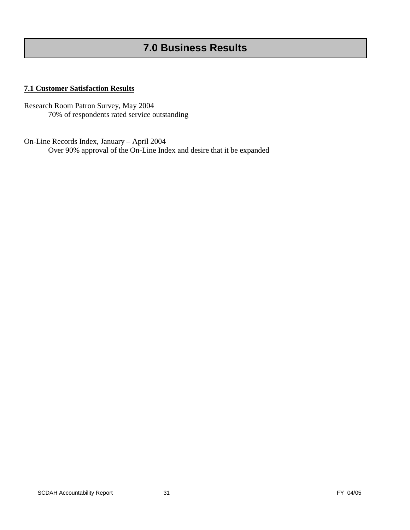# **7.0 Business Results**

#### **7.1 Customer Satisfaction Results**

Research Room Patron Survey, May 2004 70% of respondents rated service outstanding

On-Line Records Index, January – April 2004 Over 90% approval of the On-Line Index and desire that it be expanded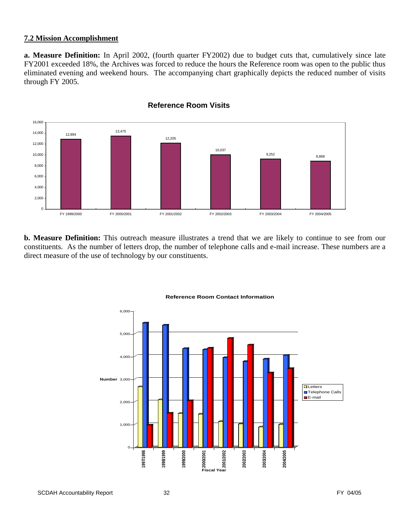#### **7.2 Mission Accomplishment**

**a. Measure Definition:** In April 2002, (fourth quarter FY2002) due to budget cuts that, cumulatively since late FY2001 exceeded 18%, the Archives was forced to reduce the hours the Reference room was open to the public thus eliminated evening and weekend hours. The accompanying chart graphically depicts the reduced number of visits through FY 2005.



**Reference Room Visits**

**b. Measure Definition:** This outreach measure illustrates a trend that we are likely to continue to see from our constituents. As the number of letters drop, the number of telephone calls and e-mail increase. These numbers are a direct measure of the use of technology by our constituents.



#### **Reference Room Contact Information**

SCDAH Accountability Report 32 **SCDAH Accountability Report** 32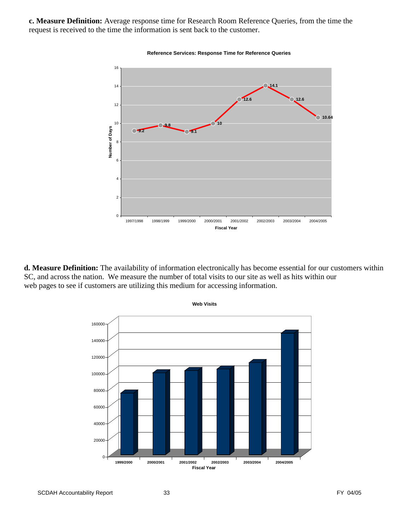**c. Measure Definition:** Average response time for Research Room Reference Queries, from the time the request is received to the time the information is sent back to the customer.



**Reference Services: Response Time for Reference Queries**

**d. Measure Definition:** The availability of information electronically has become essential for our customers within SC, and across the nation. We measure the number of total visits to our site as well as hits within our web pages to see if customers are utilizing this medium for accessing information.



SCDAH Accountability Report 33 **FY 04/05** SCDAH Accountability Report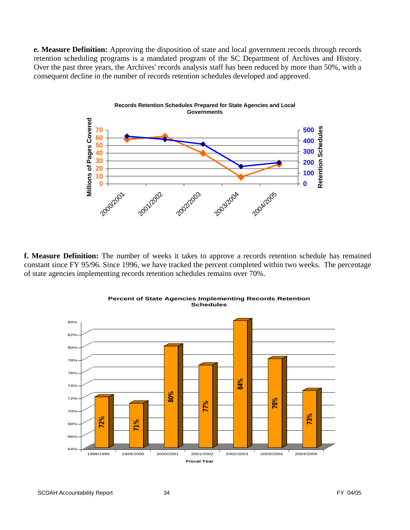**e. Measure Definition:** Approving the disposition of state and local government records through records retention scheduling programs is a mandated program of the SC Department of Archives and History. Over the past three years, the Archives' records analysis staff has been reduced by more than 50%, with a consequent decline in the number of records retention schedules developed and approved.



**f. Measure Definition:** The number of weeks it takes to approve a records retention schedule has remained constant since FY 95/96. Since 1996, we have tracked the percent completed within two weeks. The percentage of state agencies implementing records retention schedules remains over 70%.



**Percent of State Agencies Implementing Records Retention Schedules**

SCDAH Accountability Report 34 **SCDAH** Accountability Report 34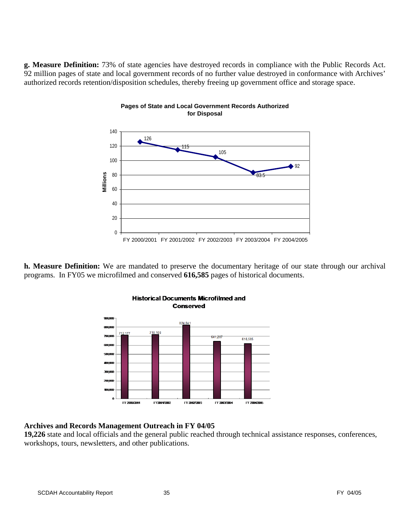**g. Measure Definition:** 73% of state agencies have destroyed records in compliance with the Public Records Act. 92 million pages of state and local government records of no further value destroyed in conformance with Archives' authorized records retention/disposition schedules, thereby freeing up government office and storage space.

**Pages of State and Local Government Records Authorized** 



**h. Measure Definition:** We are mandated to preserve the documentary heritage of our state through our archival programs. In FY05 we microfilmed and conserved **616,585** pages of historical documents.



# **Historical Documents Microfilmed and Conserved**

#### **Archives and Records Management Outreach in FY 04/05**

**19,226** state and local officials and the general public reached through technical assistance responses, conferences, workshops, tours, newsletters, and other publications.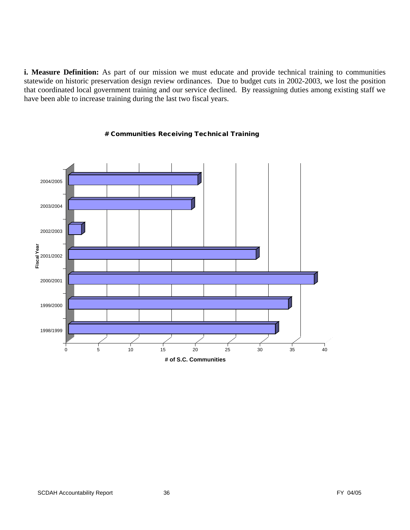**i. Measure Definition:** As part of our mission we must educate and provide technical training to communities statewide on historic preservation design review ordinances. Due to budget cuts in 2002-2003, we lost the position that coordinated local government training and our service declined. By reassigning duties among existing staff we have been able to increase training during the last two fiscal years.



#### # Communities Receiving Technical Training

**# of S.C. Communities**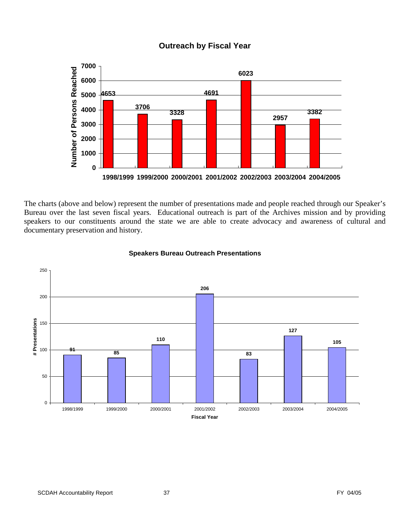

# **Outreach by Fiscal Year**

The charts (above and below) represent the number of presentations made and people reached through our Speaker's Bureau over the last seven fiscal years. Educational outreach is part of the Archives mission and by providing speakers to our constituents around the state we are able to create advocacy and awareness of cultural and documentary preservation and history.



#### **Speakers Bureau Outreach Presentations**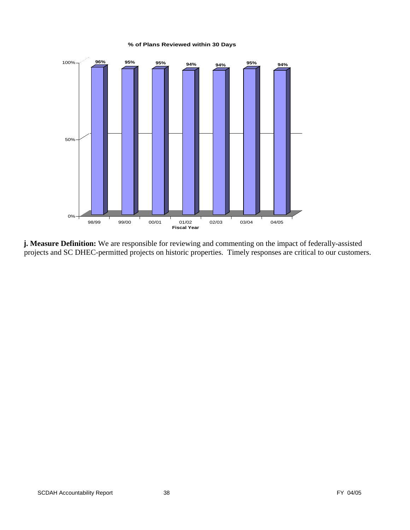#### **% of Plans Reviewed within 30 Days**



**j. Measure Definition:** We are responsible for reviewing and commenting on the impact of federally-assisted projects and SC DHEC-permitted projects on historic properties. Timely responses are critical to our customers.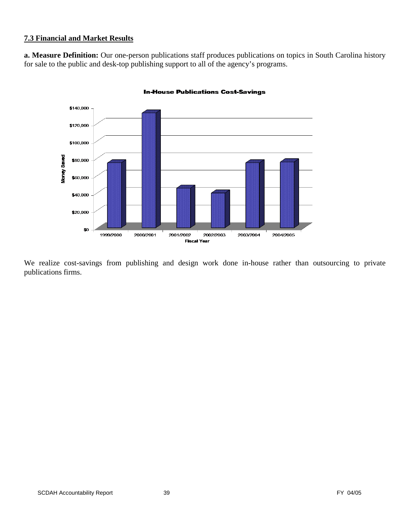# **7.3 Financial and Market Results**

**a. Measure Definition:** Our one-person publications staff produces publications on topics in South Carolina history for sale to the public and desk-top publishing support to all of the agency's programs.



#### **In-House Publications Cost-Savings**

We realize cost-savings from publishing and design work done in-house rather than outsourcing to private publications firms.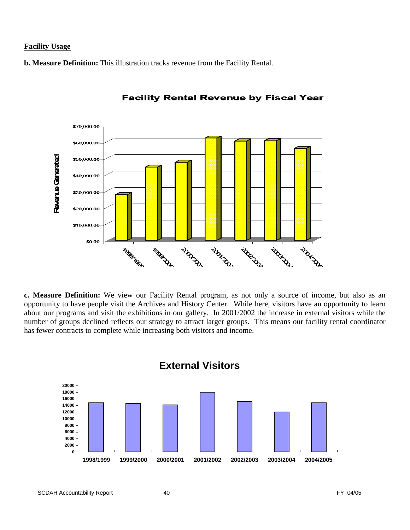#### **Facility Usage**

**b. Measure Definition:** This illustration tracks revenue from the Facility Rental.



**Facility Rental Revenue by Fiscal Year** 

**c. Measure Definition:** We view our Facility Rental program, as not only a source of income, but also as an opportunity to have people visit the Archives and History Center. While here, visitors have an opportunity to learn about our programs and visit the exhibitions in our gallery. In 2001/2002 the increase in external visitors while the number of groups declined reflects our strategy to attract larger groups. This means our facility rental coordinator has fewer contracts to complete while increasing both visitors and income.



# **External Visitors**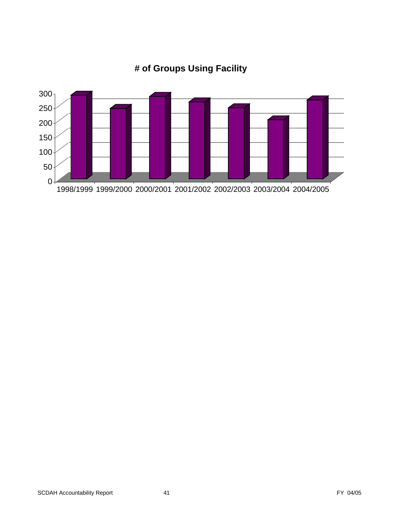

# **# of Groups Using Facility**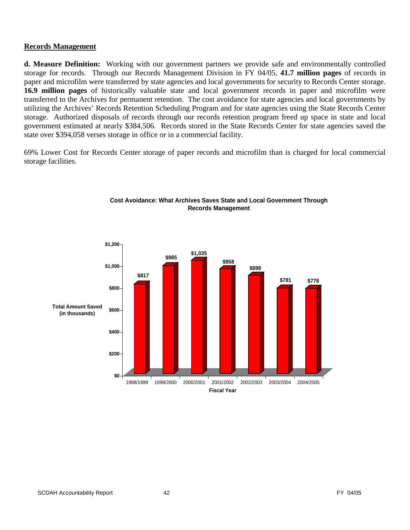#### **Records Management**

**d. Measure Definition:** Working with our government partners we provide safe and environmentally controlled storage for records. Through our Records Management Division in FY 04/05, **41.7 million pages** of records in paper and microfilm were transferred by state agencies and local governments for security to Records Center storage. **16.9 million pages** of historically valuable state and local government records in paper and microfilm were transferred to the Archives for permanent retention. The cost avoidance for state agencies and local governments by utilizing the Archives' Records Retention Scheduling Program and for state agencies using the State Records Center storage. Authorized disposals of records through our records retention program freed up space in state and local government estimated at nearly \$384,506. Records stored in the State Records Center for state agencies saved the state over \$394,058 verses storage in office or in a commercial facility.

69% Lower Cost for Records Center storage of paper records and microfilm than is charged for local commercial storage facilities.



#### **Cost Avoidance: What Archives Saves State and Local Government Through Records Management**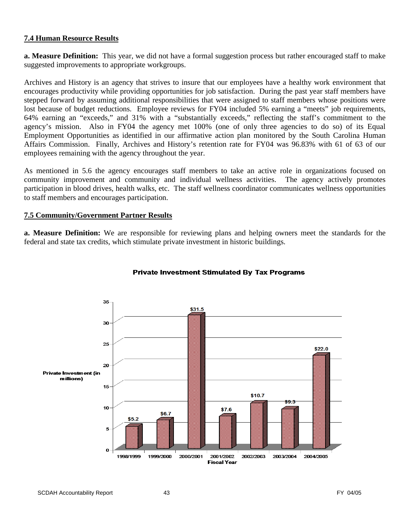#### **7.4 Human Resource Results**

**a. Measure Definition:** This year, we did not have a formal suggestion process but rather encouraged staff to make suggested improvements to appropriate workgroups.

Archives and History is an agency that strives to insure that our employees have a healthy work environment that encourages productivity while providing opportunities for job satisfaction. During the past year staff members have stepped forward by assuming additional responsibilities that were assigned to staff members whose positions were lost because of budget reductions. Employee reviews for FY04 included 5% earning a "meets" job requirements, 64% earning an "exceeds," and 31% with a "substantially exceeds," reflecting the staff's commitment to the agency's mission. Also in FY04 the agency met 100% (one of only three agencies to do so) of its Equal Employment Opportunities as identified in our affirmative action plan monitored by the South Carolina Human Affairs Commission. Finally, Archives and History's retention rate for FY04 was 96.83% with 61 of 63 of our employees remaining with the agency throughout the year.

As mentioned in 5.6 the agency encourages staff members to take an active role in organizations focused on community improvement and community and individual wellness activities. The agency actively promotes participation in blood drives, health walks, etc. The staff wellness coordinator communicates wellness opportunities to staff members and encourages participation.

#### **7.5 Community/Government Partner Results**

**a. Measure Definition:** We are responsible for reviewing plans and helping owners meet the standards for the federal and state tax credits, which stimulate private investment in historic buildings.



#### **Private Investment Stimulated By Tax Programs**

SCDAH Accountability Report 43 And 100 and 13 FY 04/05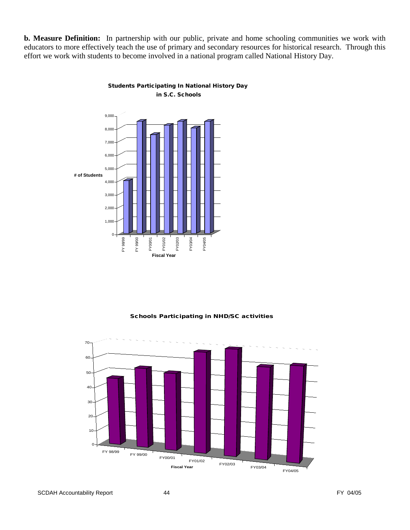**b. Measure Definition:** In partnership with our public, private and home schooling communities we work with educators to more effectively teach the use of primary and secondary resources for historical research. Through this effort we work with students to become involved in a national program called National History Day.



Students Participating In National History Day in S.C. Schools

#### Schools Participating in NHD/SC activities



SCDAH Accountability Report 44 **Accountability Report** 44 **FY** 04/05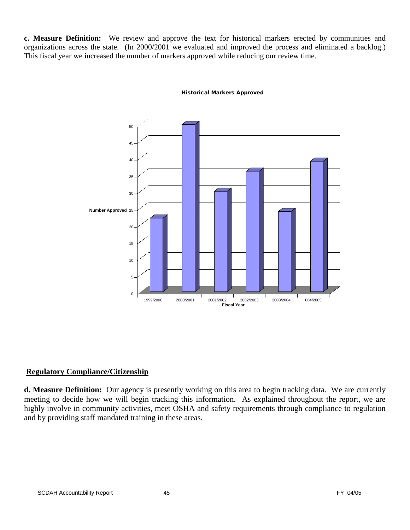**c. Measure Definition:** We review and approve the text for historical markers erected by communities and organizations across the state. (In 2000/2001 we evaluated and improved the process and eliminated a backlog.) This fiscal year we increased the number of markers approved while reducing our review time.



#### Historical Markers Approved

#### **Regulatory Compliance/Citizenship**

**d. Measure Definition:** Our agency is presently working on this area to begin tracking data. We are currently meeting to decide how we will begin tracking this information. As explained throughout the report, we are highly involve in community activities, meet OSHA and safety requirements through compliance to regulation and by providing staff mandated training in these areas.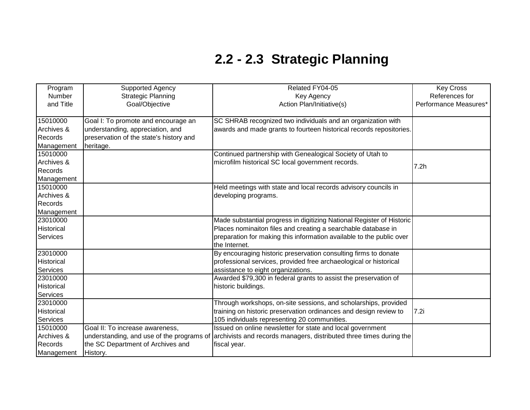| Program        | Supported Agency                        | Related FY04-05                                                                                               | <b>Key Cross</b>      |
|----------------|-----------------------------------------|---------------------------------------------------------------------------------------------------------------|-----------------------|
| Number         | <b>Strategic Planning</b>               | <b>Key Agency</b>                                                                                             | References for        |
| and Title      | Goal/Objective                          | Action Plan/Initiative(s)                                                                                     | Performance Measures* |
|                |                                         |                                                                                                               |                       |
| 15010000       | Goal I: To promote and encourage an     | SC SHRAB recognized two individuals and an organization with                                                  |                       |
| Archives &     | understanding, appreciation, and        | awards and made grants to fourteen historical records repositories.                                           |                       |
| Records        | preservation of the state's history and |                                                                                                               |                       |
| Management     | heritage.                               |                                                                                                               |                       |
| 15010000       |                                         | Continued partnership with Genealogical Society of Utah to                                                    |                       |
| Archives &     |                                         | microfilm historical SC local government records.                                                             | 7.2h                  |
| Records        |                                         |                                                                                                               |                       |
| Management     |                                         |                                                                                                               |                       |
| 15010000       |                                         | Held meetings with state and local records advisory councils in                                               |                       |
| Archives &     |                                         | developing programs.                                                                                          |                       |
| Records        |                                         |                                                                                                               |                       |
| Management     |                                         |                                                                                                               |                       |
| 23010000       |                                         | Made substantial progress in digitizing National Register of Historic                                         |                       |
| Historical     |                                         | Places nominaiton files and creating a searchable database in                                                 |                       |
| Services       |                                         | preparation for making this information available to the public over                                          |                       |
|                |                                         | the Internet.                                                                                                 |                       |
| 23010000       |                                         | By encouraging historic preservation consulting firms to donate                                               |                       |
| Historical     |                                         | professional services, provided free archaeological or historical                                             |                       |
| Services       |                                         | assistance to eight organizations.                                                                            |                       |
| 23010000       |                                         | Awarded \$79,300 in federal grants to assist the preservation of                                              |                       |
| Historical     |                                         | historic buildings.                                                                                           |                       |
| Services       |                                         |                                                                                                               |                       |
| 23010000       |                                         | Through workshops, on-site sessions, and scholarships, provided                                               |                       |
| Historical     |                                         | training on historic preservation ordinances and design review to                                             | 7.2i                  |
| Services       |                                         | 105 individuals representing 20 communities.                                                                  |                       |
| 15010000       | Goal II: To increase awareness,         | Issued on online newsletter for state and local government                                                    |                       |
| Archives &     |                                         | understanding, and use of the programs of archivists and records managers, distributed three times during the |                       |
| <b>Records</b> | the SC Department of Archives and       | fiscal year.                                                                                                  |                       |
| Management     | History.                                |                                                                                                               |                       |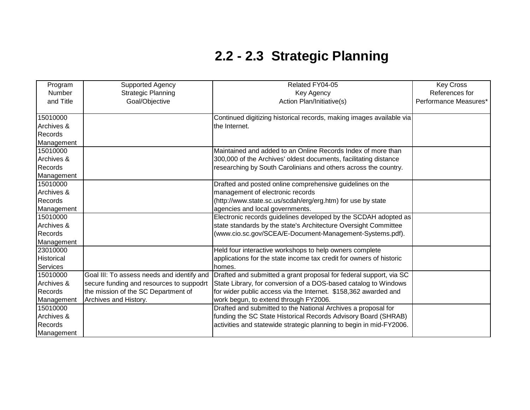| Program    | <b>Supported Agency</b>                    | Related FY04-05                                                      | <b>Key Cross</b>      |
|------------|--------------------------------------------|----------------------------------------------------------------------|-----------------------|
| Number     | <b>Strategic Planning</b>                  | Key Agency                                                           | References for        |
| and Title  | Goal/Objective                             | Action Plan/Initiative(s)                                            | Performance Measures* |
|            |                                            |                                                                      |                       |
| 15010000   |                                            | Continued digitizing historical records, making images available via |                       |
| Archives & |                                            | the Internet.                                                        |                       |
| Records    |                                            |                                                                      |                       |
| Management |                                            |                                                                      |                       |
| 15010000   |                                            | Maintained and added to an Online Records Index of more than         |                       |
| Archives & |                                            | 300,000 of the Archives' oldest documents, facilitating distance     |                       |
| Records    |                                            | researching by South Carolinians and others across the country.      |                       |
| Management |                                            |                                                                      |                       |
| 15010000   |                                            | Drafted and posted online comprehensive guidelines on the            |                       |
| Archives & |                                            | management of electronic records                                     |                       |
| Records    |                                            | (http://www.state.sc.us/scdah/erg/erg.htm) for use by state          |                       |
| Management |                                            | agencies and local governments.                                      |                       |
| 15010000   |                                            | Electronic records guidelines developed by the SCDAH adopted as      |                       |
| Archives & |                                            | state standards by the state's Architecture Oversight Committee      |                       |
| Records    |                                            | (www.cio.sc.gov/SCEA/E-Document-Management-Systems.pdf).             |                       |
| Management |                                            |                                                                      |                       |
| 23010000   |                                            | Held four interactive workshops to help owners complete              |                       |
| Historical |                                            | applications for the state income tax credit for owners of historic  |                       |
| Services   |                                            | homes.                                                               |                       |
| 15010000   | Goal III: To assess needs and identify and | Drafted and submitted a grant proposal for federal support, via SC   |                       |
| Archives & | secure funding and resources to suppodrt   | State Library, for conversion of a DOS-based catalog to Windows      |                       |
| Records    | the mission of the SC Department of        | for wider public access via the Internet. \$158,362 awarded and      |                       |
| Management | Archives and History.                      | work begun, to extend through FY2006.                                |                       |
| 15010000   |                                            | Drafted and submitted to the National Archives a proposal for        |                       |
| Archives & |                                            | funding the SC State Historical Records Advisory Board (SHRAB)       |                       |
| Records    |                                            | activities and statewide strategic planning to begin in mid-FY2006.  |                       |
| Management |                                            |                                                                      |                       |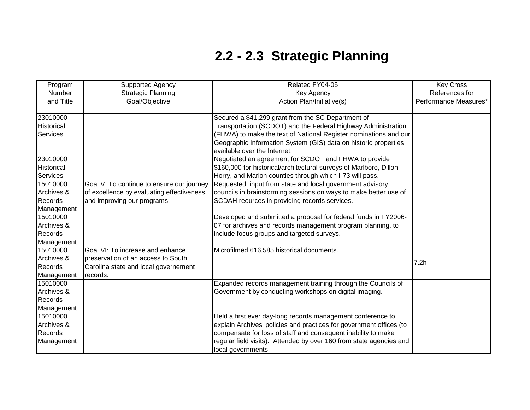| Program    | <b>Supported Agency</b>                   | Related FY04-05                                                     | <b>Key Cross</b>      |
|------------|-------------------------------------------|---------------------------------------------------------------------|-----------------------|
| Number     | <b>Strategic Planning</b>                 | Key Agency                                                          | References for        |
| and Title  | Goal/Objective                            | Action Plan/Initiative(s)                                           | Performance Measures* |
|            |                                           |                                                                     |                       |
| 23010000   |                                           | Secured a \$41,299 grant from the SC Department of                  |                       |
| Historical |                                           | Transportation (SCDOT) and the Federal Highway Administration       |                       |
| Services   |                                           | (FHWA) to make the text of National Register nominations and our    |                       |
|            |                                           | Geographic Information System (GIS) data on historic properties     |                       |
|            |                                           | available over the Internet.                                        |                       |
| 23010000   |                                           | Negotiated an agreement for SCDOT and FHWA to provide               |                       |
| Historical |                                           | \$160,000 for historical/architectural surveys of Marlboro, Dillon, |                       |
| Services   |                                           | Horry, and Marion counties through which I-73 will pass.            |                       |
| 15010000   | Goal V: To continue to ensure our journey | Requested input from state and local government advisory            |                       |
| Archives & | of excellence by evaluating effectiveness | councils in brainstorming sessions on ways to make better use of    |                       |
| Records    | and improving our programs.               | SCDAH reources in providing records services.                       |                       |
| Management |                                           |                                                                     |                       |
| 15010000   |                                           | Developed and submitted a proposal for federal funds in FY2006-     |                       |
| Archives & |                                           | 07 for archives and records management program planning, to         |                       |
| Records    |                                           | include focus groups and targeted surveys.                          |                       |
| Management |                                           |                                                                     |                       |
| 15010000   | Goal VI: To increase and enhance          | Microfilmed 616,585 historical documents.                           |                       |
| Archives & | preservation of an access to South        |                                                                     |                       |
| Records    | Carolina state and local governement      |                                                                     | 7.2h                  |
| Management | records.                                  |                                                                     |                       |
| 15010000   |                                           | Expanded records management training through the Councils of        |                       |
| Archives & |                                           | Government by conducting workshops on digital imaging.              |                       |
| Records    |                                           |                                                                     |                       |
| Management |                                           |                                                                     |                       |
| 15010000   |                                           | Held a first ever day-long records management conference to         |                       |
| Archives & |                                           | explain Archives' policies and practices for government offices (to |                       |
| Records    |                                           | compensate for loss of staff and consequent inability to make       |                       |
| Management |                                           | regular field visits). Attended by over 160 from state agencies and |                       |
|            |                                           | local governments.                                                  |                       |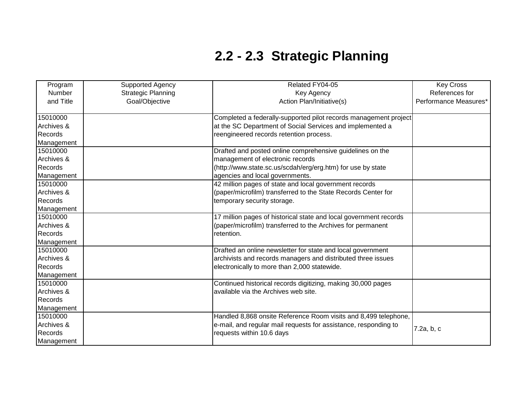| Program    | <b>Supported Agency</b>   | Related FY04-05                                                   | <b>Key Cross</b>      |
|------------|---------------------------|-------------------------------------------------------------------|-----------------------|
| Number     | <b>Strategic Planning</b> | Key Agency                                                        | References for        |
| and Title  | Goal/Objective            | Action Plan/Initiative(s)                                         | Performance Measures* |
|            |                           |                                                                   |                       |
| 15010000   |                           | Completed a federally-supported pilot records management project  |                       |
| Archives & |                           | at the SC Department of Social Services and implemented a         |                       |
| Records    |                           | reengineered records retention process.                           |                       |
| Management |                           |                                                                   |                       |
| 15010000   |                           | Drafted and posted online comprehensive guidelines on the         |                       |
| Archives & |                           | management of electronic records                                  |                       |
| Records    |                           | (http://www.state.sc.us/scdah/erg/erg.htm) for use by state       |                       |
| Management |                           | agencies and local governments.                                   |                       |
| 15010000   |                           | 42 million pages of state and local government records            |                       |
| Archives & |                           | (paper/microfilm) transferred to the State Records Center for     |                       |
| Records    |                           | temporary security storage.                                       |                       |
| Management |                           |                                                                   |                       |
| 15010000   |                           | 17 million pages of historical state and local government records |                       |
| Archives & |                           | (paper/microfilm) transferred to the Archives for permanent       |                       |
| Records    |                           | retention.                                                        |                       |
| Management |                           |                                                                   |                       |
| 15010000   |                           | Drafted an online newsletter for state and local government       |                       |
| Archives & |                           | archivists and records managers and distributed three issues      |                       |
| Records    |                           | electronically to more than 2,000 statewide.                      |                       |
| Management |                           |                                                                   |                       |
| 15010000   |                           | Continued historical records digitizing, making 30,000 pages      |                       |
| Archives & |                           | available via the Archives web site.                              |                       |
| Records    |                           |                                                                   |                       |
| Management |                           |                                                                   |                       |
| 15010000   |                           | Handled 8,868 onsite Reference Room visits and 8,499 telephone,   |                       |
| Archives & |                           | e-mail, and regular mail requests for assistance, responding to   |                       |
| Records    |                           | requests within 10.6 days                                         | 7.2a, b, c            |
| Management |                           |                                                                   |                       |